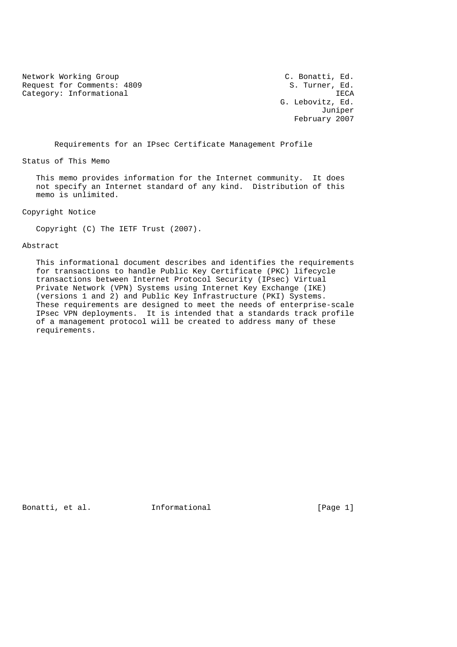Network Working Group C. Bonatti, Ed.<br>Request for Comments: 4809 S. Turner, Ed. Request for Comments: 4809 Category: Informational intervals and the set of the set of the set of the set of the set of the set of the set of the set of the set of the set of the set of the set of the set of the set of the set of the set of the set

 G. Lebovitz, Ed. Juniper February 2007

Requirements for an IPsec Certificate Management Profile

Status of This Memo

 This memo provides information for the Internet community. It does not specify an Internet standard of any kind. Distribution of this memo is unlimited.

Copyright Notice

Copyright (C) The IETF Trust (2007).

Abstract

 This informational document describes and identifies the requirements for transactions to handle Public Key Certificate (PKC) lifecycle transactions between Internet Protocol Security (IPsec) Virtual Private Network (VPN) Systems using Internet Key Exchange (IKE) (versions 1 and 2) and Public Key Infrastructure (PKI) Systems. These requirements are designed to meet the needs of enterprise-scale IPsec VPN deployments. It is intended that a standards track profile of a management protocol will be created to address many of these requirements.

Bonatti, et al. **Informational** [Page 1]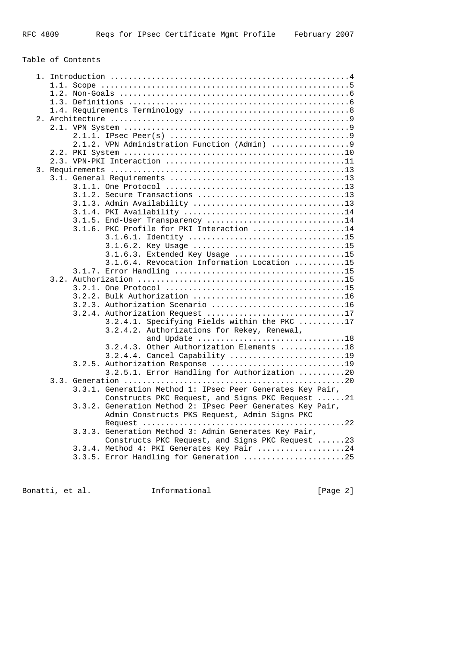# Table of Contents

|  | 3.1.2. Secure Transactions 13                              |
|--|------------------------------------------------------------|
|  |                                                            |
|  |                                                            |
|  | 3.1.5. End-User Transparency 14                            |
|  | 3.1.6. PKC Profile for PKI Interaction 14                  |
|  |                                                            |
|  |                                                            |
|  |                                                            |
|  | 3.1.6.3. Extended Key Usage 15                             |
|  | 3.1.6.4. Revocation Information Location 15                |
|  |                                                            |
|  |                                                            |
|  |                                                            |
|  |                                                            |
|  | 3.2.3. Authorization Scenario 16                           |
|  | 3.2.4. Authorization Request 17                            |
|  | 3.2.4.1. Specifying Fields within the PKC 17               |
|  | 3.2.4.2. Authorizations for Rekey, Renewal,                |
|  | and Update 18                                              |
|  | 3.2.4.3. Other Authorization Elements 18                   |
|  | 3.2.4.4. Cancel Capability 19                              |
|  | 3.2.5. Authorization Response 19                           |
|  | 3.2.5.1. Error Handling for Authorization 20               |
|  |                                                            |
|  | 3.3.1. Generation Method 1: IPsec Peer Generates Key Pair, |
|  | Constructs PKC Request, and Signs PKC Request 21           |
|  | 3.3.2. Generation Method 2: IPsec Peer Generates Key Pair, |
|  | Admin Constructs PKS Request, Admin Signs PKC              |
|  |                                                            |
|  | 3.3.3. Generation Method 3: Admin Generates Key Pair,      |
|  | Constructs PKC Request, and Signs PKC Request 23           |
|  | 3.3.4. Method 4: PKI Generates Key Pair 24                 |
|  | 3.3.5. Error Handling for Generation 25                    |
|  |                                                            |

Bonatti, et al. 1nformational 1999 [Page 2]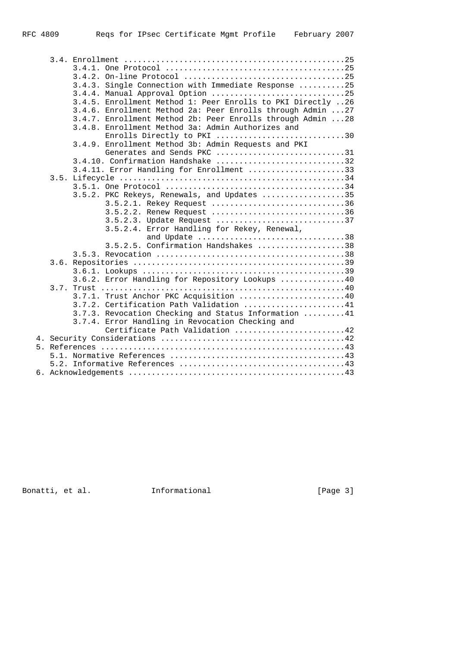|  | 3.4.3. Single Connection with Immediate Response 25         |
|--|-------------------------------------------------------------|
|  | 3.4.4. Manual Approval Option 25                            |
|  | 3.4.5. Enrollment Method 1: Peer Enrolls to PKI Directly 26 |
|  | 3.4.6. Enrollment Method 2a: Peer Enrolls through Admin  27 |
|  | 3.4.7. Enrollment Method 2b: Peer Enrolls through Admin 28  |
|  | 3.4.8. Enrollment Method 3a: Admin Authorizes and           |
|  | Enrolls Directly to PKI 30                                  |
|  | 3.4.9. Enrollment Method 3b: Admin Requests and PKI         |
|  | Generates and Sends PKC 31                                  |
|  |                                                             |
|  | 3.4.11. Error Handling for Enrollment 33                    |
|  |                                                             |
|  |                                                             |
|  | 3.5.2. PKC Rekeys, Renewals, and Updates 35                 |
|  | 3.5.2.1. Rekey Request 36                                   |
|  | 3.5.2.2. Renew Request 36                                   |
|  | 3.5.2.3. Update Request 37                                  |
|  | 3.5.2.4. Error Handling for Rekey, Renewal,                 |
|  | and Update 38                                               |
|  | 3.5.2.5. Confirmation Handshakes 38                         |
|  |                                                             |
|  |                                                             |
|  |                                                             |
|  | 3.6.2. Error Handling for Repository Lookups 40             |
|  |                                                             |
|  | 3.7.1. Trust Anchor PKC Acquisition 40                      |
|  | $3.7.2$ . Certification Path Validation 41                  |
|  | 3.7.3. Revocation Checking and Status Information 41        |
|  | 3.7.4. Error Handling in Revocation Checking and            |
|  | Certificate Path Validation 42                              |
|  |                                                             |
|  |                                                             |
|  |                                                             |
|  |                                                             |
|  |                                                             |
|  |                                                             |

Bonatti, et al. 1nformational 1999 [Page 3]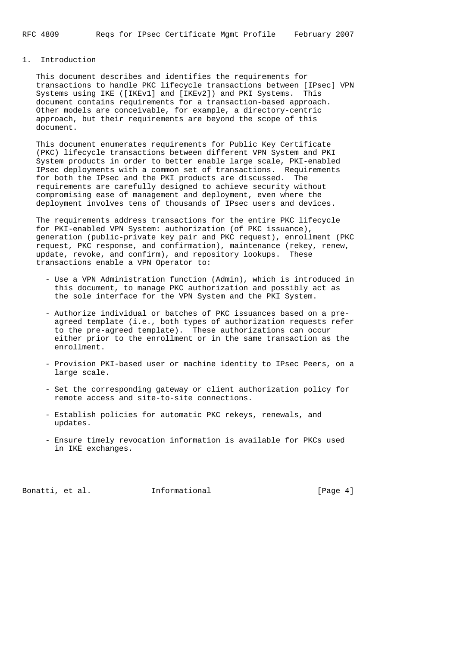## 1. Introduction

 This document describes and identifies the requirements for transactions to handle PKC lifecycle transactions between [IPsec] VPN Systems using IKE ([IKEv1] and [IKEv2]) and PKI Systems. This document contains requirements for a transaction-based approach. Other models are conceivable, for example, a directory-centric approach, but their requirements are beyond the scope of this document.

 This document enumerates requirements for Public Key Certificate (PKC) lifecycle transactions between different VPN System and PKI System products in order to better enable large scale, PKI-enabled IPsec deployments with a common set of transactions. Requirements for both the IPsec and the PKI products are discussed. The requirements are carefully designed to achieve security without compromising ease of management and deployment, even where the deployment involves tens of thousands of IPsec users and devices.

 The requirements address transactions for the entire PKC lifecycle for PKI-enabled VPN System: authorization (of PKC issuance), generation (public-private key pair and PKC request), enrollment (PKC request, PKC response, and confirmation), maintenance (rekey, renew, update, revoke, and confirm), and repository lookups. These transactions enable a VPN Operator to:

- Use a VPN Administration function (Admin), which is introduced in this document, to manage PKC authorization and possibly act as the sole interface for the VPN System and the PKI System.
- Authorize individual or batches of PKC issuances based on a pre agreed template (i.e., both types of authorization requests refer to the pre-agreed template). These authorizations can occur either prior to the enrollment or in the same transaction as the enrollment.
- Provision PKI-based user or machine identity to IPsec Peers, on a large scale.
- Set the corresponding gateway or client authorization policy for remote access and site-to-site connections.
- Establish policies for automatic PKC rekeys, renewals, and updates.
- Ensure timely revocation information is available for PKCs used in IKE exchanges.

Bonatti, et al. **Informational** [Page 4]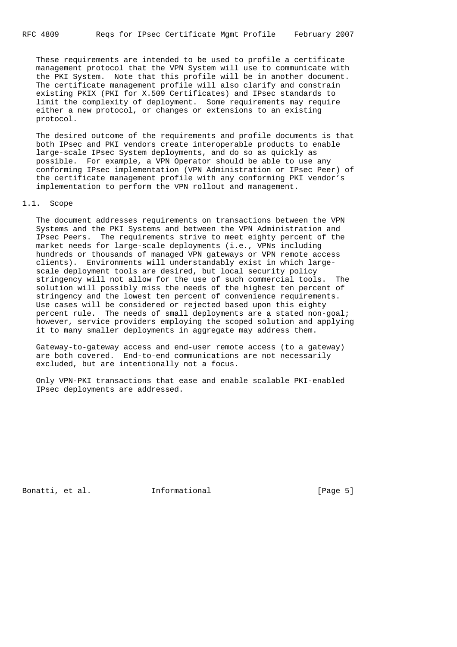These requirements are intended to be used to profile a certificate management protocol that the VPN System will use to communicate with the PKI System. Note that this profile will be in another document. The certificate management profile will also clarify and constrain existing PKIX (PKI for X.509 Certificates) and IPsec standards to limit the complexity of deployment. Some requirements may require either a new protocol, or changes or extensions to an existing protocol.

 The desired outcome of the requirements and profile documents is that both IPsec and PKI vendors create interoperable products to enable large-scale IPsec System deployments, and do so as quickly as possible. For example, a VPN Operator should be able to use any conforming IPsec implementation (VPN Administration or IPsec Peer) of the certificate management profile with any conforming PKI vendor's implementation to perform the VPN rollout and management.

## 1.1. Scope

 The document addresses requirements on transactions between the VPN Systems and the PKI Systems and between the VPN Administration and IPsec Peers. The requirements strive to meet eighty percent of the market needs for large-scale deployments (i.e., VPNs including hundreds or thousands of managed VPN gateways or VPN remote access clients). Environments will understandably exist in which large scale deployment tools are desired, but local security policy stringency will not allow for the use of such commercial tools. The solution will possibly miss the needs of the highest ten percent of stringency and the lowest ten percent of convenience requirements. Use cases will be considered or rejected based upon this eighty percent rule. The needs of small deployments are a stated non-goal; however, service providers employing the scoped solution and applying it to many smaller deployments in aggregate may address them.

 Gateway-to-gateway access and end-user remote access (to a gateway) are both covered. End-to-end communications are not necessarily excluded, but are intentionally not a focus.

 Only VPN-PKI transactions that ease and enable scalable PKI-enabled IPsec deployments are addressed.

Bonatti, et al. **Informational** [Page 5]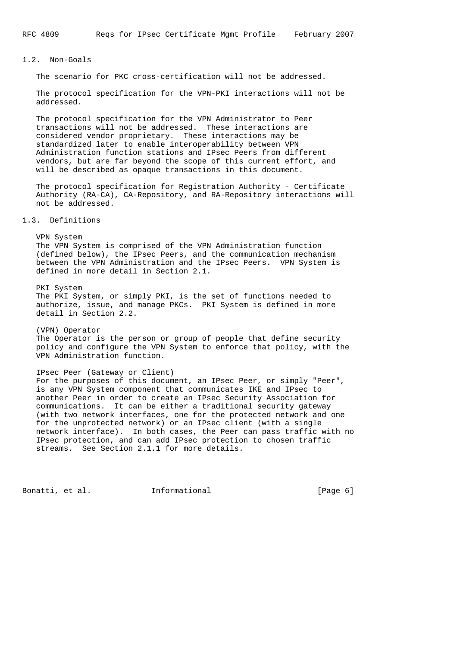## 1.2. Non-Goals

The scenario for PKC cross-certification will not be addressed.

 The protocol specification for the VPN-PKI interactions will not be addressed.

 The protocol specification for the VPN Administrator to Peer transactions will not be addressed. These interactions are considered vendor proprietary. These interactions may be standardized later to enable interoperability between VPN Administration function stations and IPsec Peers from different vendors, but are far beyond the scope of this current effort, and will be described as opaque transactions in this document.

 The protocol specification for Registration Authority - Certificate Authority (RA-CA), CA-Repository, and RA-Repository interactions will not be addressed.

1.3. Definitions

 VPN System The VPN System is comprised of the VPN Administration function (defined below), the IPsec Peers, and the communication mechanism between the VPN Administration and the IPsec Peers. VPN System is defined in more detail in Section 2.1. PKI System The PKI System, or simply PKI, is the set of functions needed to authorize, issue, and manage PKCs. PKI System is defined in more detail in Section 2.2.

 (VPN) Operator The Operator is the person or group of people that define security policy and configure the VPN System to enforce that policy, with the VPN Administration function.

 IPsec Peer (Gateway or Client) For the purposes of this document, an IPsec Peer, or simply "Peer", is any VPN System component that communicates IKE and IPsec to another Peer in order to create an IPsec Security Association for communications. It can be either a traditional security gateway (with two network interfaces, one for the protected network and one for the unprotected network) or an IPsec client (with a single network interface). In both cases, the Peer can pass traffic with no IPsec protection, and can add IPsec protection to chosen traffic streams. See Section 2.1.1 for more details.

Bonatti, et al. 1nformational [Page 6]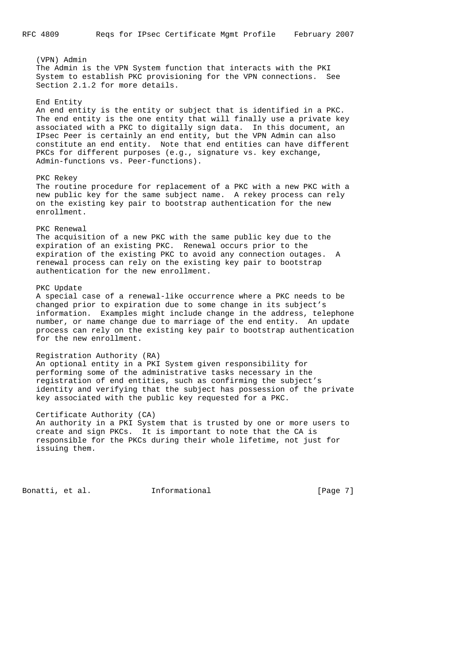(VPN) Admin The Admin is the VPN System function that interacts with the PKI System to establish PKC provisioning for the VPN connections. See Section 2.1.2 for more details. End Entity An end entity is the entity or subject that is identified in a PKC. The end entity is the one entity that will finally use a private key associated with a PKC to digitally sign data. In this document, an IPsec Peer is certainly an end entity, but the VPN Admin can also constitute an end entity. Note that end entities can have different PKCs for different purposes (e.g., signature vs. key exchange, Admin-functions vs. Peer-functions). PKC Rekey The routine procedure for replacement of a PKC with a new PKC with a new public key for the same subject name. A rekey process can rely on the existing key pair to bootstrap authentication for the new enrollment. PKC Renewal The acquisition of a new PKC with the same public key due to the expiration of an existing PKC. Renewal occurs prior to the expiration of the existing PKC to avoid any connection outages. A renewal process can rely on the existing key pair to bootstrap authentication for the new enrollment. PKC Update A special case of a renewal-like occurrence where a PKC needs to be changed prior to expiration due to some change in its subject's information. Examples might include change in the address, telephone number, or name change due to marriage of the end entity. An update process can rely on the existing key pair to bootstrap authentication for the new enrollment. Registration Authority (RA) An optional entity in a PKI System given responsibility for performing some of the administrative tasks necessary in the registration of end entities, such as confirming the subject's identity and verifying that the subject has possession of the private key associated with the public key requested for a PKC. Certificate Authority (CA) An authority in a PKI System that is trusted by one or more users to create and sign PKCs. It is important to note that the CA is responsible for the PKCs during their whole lifetime, not just for issuing them. Bonatti, et al. 1nformational 1999 [Page 7]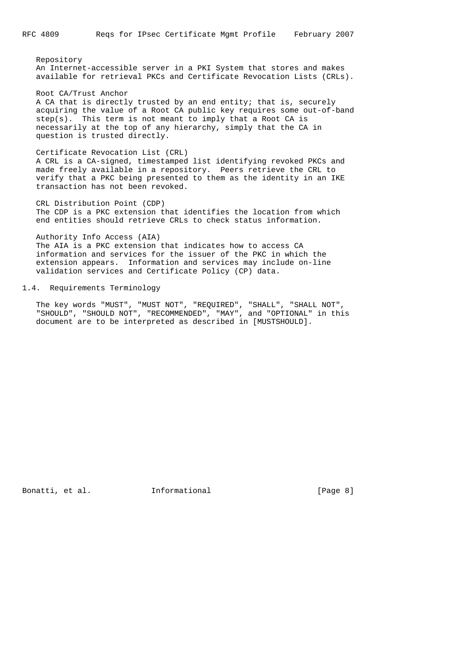Repository An Internet-accessible server in a PKI System that stores and makes available for retrieval PKCs and Certificate Revocation Lists (CRLs).

 Root CA/Trust Anchor A CA that is directly trusted by an end entity; that is, securely acquiring the value of a Root CA public key requires some out-of-band step(s). This term is not meant to imply that a Root CA is necessarily at the top of any hierarchy, simply that the CA in question is trusted directly.

 Certificate Revocation List (CRL) A CRL is a CA-signed, timestamped list identifying revoked PKCs and made freely available in a repository. Peers retrieve the CRL to verify that a PKC being presented to them as the identity in an IKE transaction has not been revoked.

 CRL Distribution Point (CDP) The CDP is a PKC extension that identifies the location from which end entities should retrieve CRLs to check status information.

 Authority Info Access (AIA) The AIA is a PKC extension that indicates how to access CA information and services for the issuer of the PKC in which the extension appears. Information and services may include on-line validation services and Certificate Policy (CP) data.

## 1.4. Requirements Terminology

 The key words "MUST", "MUST NOT", "REQUIRED", "SHALL", "SHALL NOT", "SHOULD", "SHOULD NOT", "RECOMMENDED", "MAY", and "OPTIONAL" in this document are to be interpreted as described in [MUSTSHOULD].

Bonatti, et al. **Informational** [Page 8]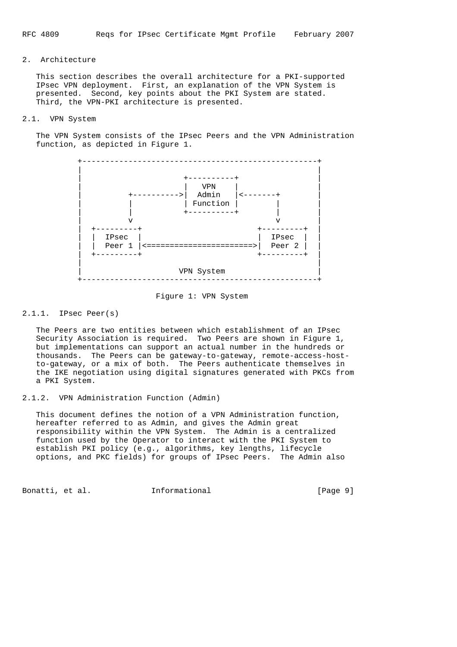## 2. Architecture

 This section describes the overall architecture for a PKI-supported IPsec VPN deployment. First, an explanation of the VPN System is presented. Second, key points about the PKI System are stated. Third, the VPN-PKI architecture is presented.

### 2.1. VPN System

 The VPN System consists of the IPsec Peers and the VPN Administration function, as depicted in Figure 1.



Figure 1: VPN System

## 2.1.1. IPsec Peer(s)

 The Peers are two entities between which establishment of an IPsec Security Association is required. Two Peers are shown in Figure 1, but implementations can support an actual number in the hundreds or thousands. The Peers can be gateway-to-gateway, remote-access-host to-gateway, or a mix of both. The Peers authenticate themselves in the IKE negotiation using digital signatures generated with PKCs from a PKI System.

2.1.2. VPN Administration Function (Admin)

 This document defines the notion of a VPN Administration function, hereafter referred to as Admin, and gives the Admin great responsibility within the VPN System. The Admin is a centralized function used by the Operator to interact with the PKI System to establish PKI policy (e.g., algorithms, key lengths, lifecycle options, and PKC fields) for groups of IPsec Peers. The Admin also

Bonatti, et al. **Informational** [Page 9]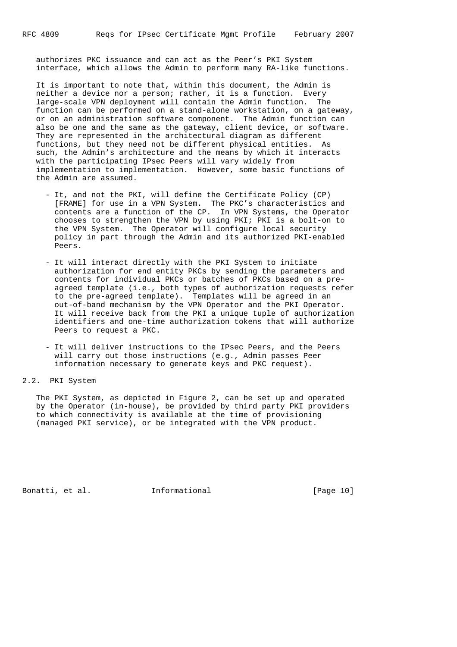authorizes PKC issuance and can act as the Peer's PKI System interface, which allows the Admin to perform many RA-like functions.

 It is important to note that, within this document, the Admin is neither a device nor a person; rather, it is a function. Every large-scale VPN deployment will contain the Admin function. The function can be performed on a stand-alone workstation, on a gateway, or on an administration software component. The Admin function can also be one and the same as the gateway, client device, or software. They are represented in the architectural diagram as different functions, but they need not be different physical entities. As such, the Admin's architecture and the means by which it interacts with the participating IPsec Peers will vary widely from implementation to implementation. However, some basic functions of the Admin are assumed.

- It, and not the PKI, will define the Certificate Policy (CP) [FRAME] for use in a VPN System. The PKC's characteristics and contents are a function of the CP. In VPN Systems, the Operator chooses to strengthen the VPN by using PKI; PKI is a bolt-on to the VPN System. The Operator will configure local security policy in part through the Admin and its authorized PKI-enabled Peers.
- It will interact directly with the PKI System to initiate authorization for end entity PKCs by sending the parameters and contents for individual PKCs or batches of PKCs based on a pre agreed template (i.e., both types of authorization requests refer to the pre-agreed template). Templates will be agreed in an out-of-band mechanism by the VPN Operator and the PKI Operator. It will receive back from the PKI a unique tuple of authorization identifiers and one-time authorization tokens that will authorize Peers to request a PKC.
- It will deliver instructions to the IPsec Peers, and the Peers will carry out those instructions (e.g., Admin passes Peer information necessary to generate keys and PKC request).

## 2.2. PKI System

 The PKI System, as depicted in Figure 2, can be set up and operated by the Operator (in-house), be provided by third party PKI providers to which connectivity is available at the time of provisioning (managed PKI service), or be integrated with the VPN product.

Bonatti, et al. 1nformational [Page 10]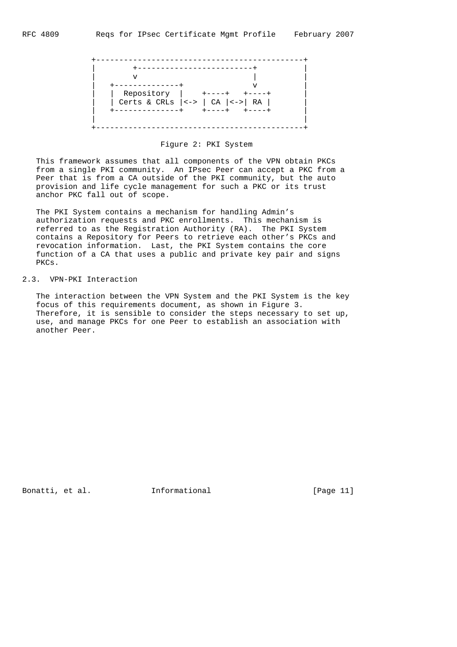

## Figure 2: PKI System

 This framework assumes that all components of the VPN obtain PKCs from a single PKI community. An IPsec Peer can accept a PKC from a Peer that is from a CA outside of the PKI community, but the auto provision and life cycle management for such a PKC or its trust anchor PKC fall out of scope.

 The PKI System contains a mechanism for handling Admin's authorization requests and PKC enrollments. This mechanism is referred to as the Registration Authority (RA). The PKI System contains a Repository for Peers to retrieve each other's PKCs and revocation information. Last, the PKI System contains the core function of a CA that uses a public and private key pair and signs PKCs.

## 2.3. VPN-PKI Interaction

 The interaction between the VPN System and the PKI System is the key focus of this requirements document, as shown in Figure 3. Therefore, it is sensible to consider the steps necessary to set up, use, and manage PKCs for one Peer to establish an association with another Peer.

Bonatti, et al. 1nformational [Page 11]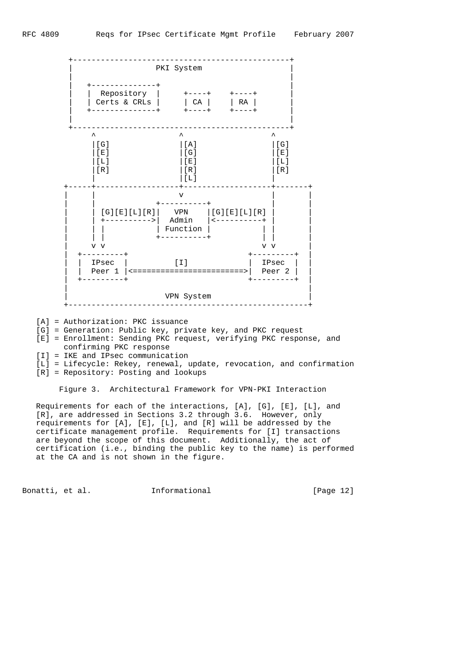

- [A] = Authorization: PKC issuance
- [G] = Generation: Public key, private key, and PKC request
- [E] = Enrollment: Sending PKC request, verifying PKC response, and confirming PKC response
- [I] = IKE and IPsec communication
- [L] = Lifecycle: Rekey, renewal, update, revocation, and confirmation
- [R] = Repository: Posting and lookups

Figure 3. Architectural Framework for VPN-PKI Interaction

 Requirements for each of the interactions, [A], [G], [E], [L], and [R], are addressed in Sections 3.2 through 3.6. However, only requirements for [A], [E], [L], and [R] will be addressed by the certificate management profile. Requirements for [I] transactions are beyond the scope of this document. Additionally, the act of certification (i.e., binding the public key to the name) is performed at the CA and is not shown in the figure.

Bonatti, et al. **Informational** [Page 12]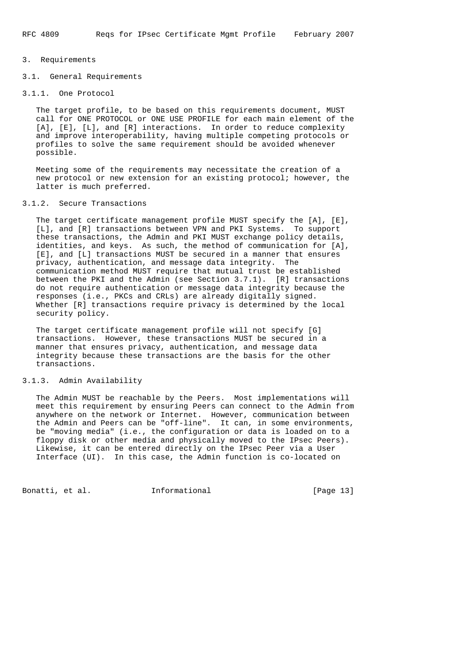## 3. Requirements

3.1. General Requirements

# 3.1.1. One Protocol

 The target profile, to be based on this requirements document, MUST call for ONE PROTOCOL or ONE USE PROFILE for each main element of the [A], [E], [L], and [R] interactions. In order to reduce complexity and improve interoperability, having multiple competing protocols or profiles to solve the same requirement should be avoided whenever possible.

 Meeting some of the requirements may necessitate the creation of a new protocol or new extension for an existing protocol; however, the latter is much preferred.

## 3.1.2. Secure Transactions

 The target certificate management profile MUST specify the [A], [E], [L], and [R] transactions between VPN and PKI Systems. To support these transactions, the Admin and PKI MUST exchange policy details, identities, and keys. As such, the method of communication for [A], [E], and [L] transactions MUST be secured in a manner that ensures privacy, authentication, and message data integrity. The communication method MUST require that mutual trust be established between the PKI and the Admin (see Section 3.7.1). [R] transactions do not require authentication or message data integrity because the responses (i.e., PKCs and CRLs) are already digitally signed. Whether [R] transactions require privacy is determined by the local security policy.

 The target certificate management profile will not specify [G] transactions. However, these transactions MUST be secured in a manner that ensures privacy, authentication, and message data integrity because these transactions are the basis for the other transactions.

## 3.1.3. Admin Availability

 The Admin MUST be reachable by the Peers. Most implementations will meet this requirement by ensuring Peers can connect to the Admin from anywhere on the network or Internet. However, communication between the Admin and Peers can be "off-line". It can, in some environments, be "moving media" (i.e., the configuration or data is loaded on to a floppy disk or other media and physically moved to the IPsec Peers). Likewise, it can be entered directly on the IPsec Peer via a User Interface (UI). In this case, the Admin function is co-located on

Bonatti, et al. 1nformational [Page 13]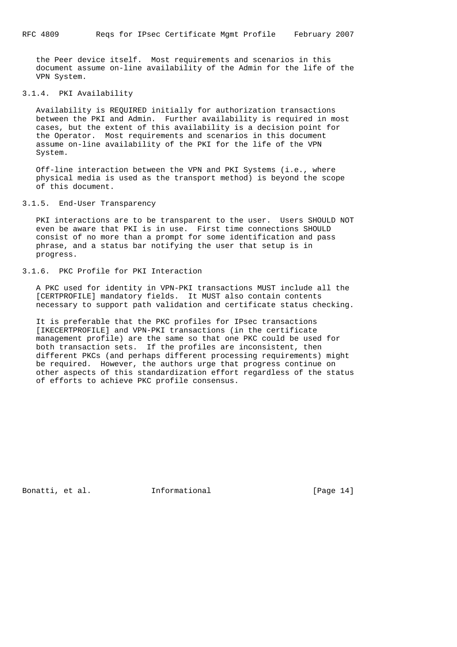the Peer device itself. Most requirements and scenarios in this document assume on-line availability of the Admin for the life of the VPN System.

## 3.1.4. PKI Availability

 Availability is REQUIRED initially for authorization transactions between the PKI and Admin. Further availability is required in most cases, but the extent of this availability is a decision point for the Operator. Most requirements and scenarios in this document assume on-line availability of the PKI for the life of the VPN System.

 Off-line interaction between the VPN and PKI Systems (i.e., where physical media is used as the transport method) is beyond the scope of this document.

# 3.1.5. End-User Transparency

PKI interactions are to be transparent to the user. Users SHOULD NOT even be aware that PKI is in use. First time connections SHOULD consist of no more than a prompt for some identification and pass phrase, and a status bar notifying the user that setup is in progress.

## 3.1.6. PKC Profile for PKI Interaction

 A PKC used for identity in VPN-PKI transactions MUST include all the [CERTPROFILE] mandatory fields. It MUST also contain contents necessary to support path validation and certificate status checking.

 It is preferable that the PKC profiles for IPsec transactions [IKECERTPROFILE] and VPN-PKI transactions (in the certificate management profile) are the same so that one PKC could be used for both transaction sets. If the profiles are inconsistent, then different PKCs (and perhaps different processing requirements) might be required. However, the authors urge that progress continue on other aspects of this standardization effort regardless of the status of efforts to achieve PKC profile consensus.

Bonatti, et al. **Informational** [Page 14]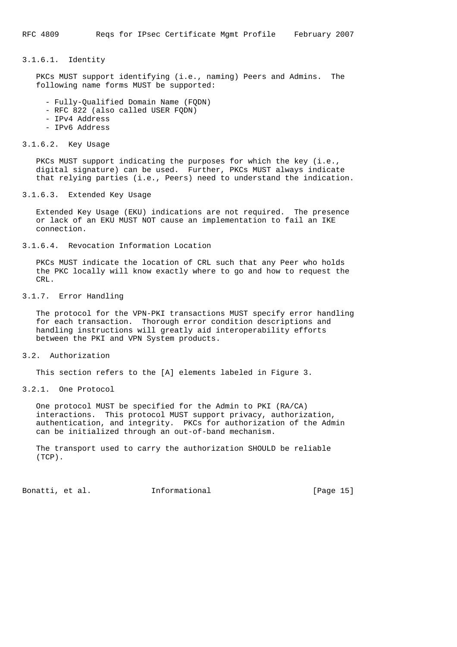## 3.1.6.1. Identity

 PKCs MUST support identifying (i.e., naming) Peers and Admins. The following name forms MUST be supported:

- Fully-Qualified Domain Name (FQDN)
- RFC 822 (also called USER FQDN)
- IPv4 Address
- IPv6 Address

## 3.1.6.2. Key Usage

 PKCs MUST support indicating the purposes for which the key (i.e., digital signature) can be used. Further, PKCs MUST always indicate that relying parties (i.e., Peers) need to understand the indication.

## 3.1.6.3. Extended Key Usage

 Extended Key Usage (EKU) indications are not required. The presence or lack of an EKU MUST NOT cause an implementation to fail an IKE connection.

3.1.6.4. Revocation Information Location

 PKCs MUST indicate the location of CRL such that any Peer who holds the PKC locally will know exactly where to go and how to request the CR<sub>L</sub>

3.1.7. Error Handling

 The protocol for the VPN-PKI transactions MUST specify error handling for each transaction. Thorough error condition descriptions and handling instructions will greatly aid interoperability efforts between the PKI and VPN System products.

3.2. Authorization

This section refers to the [A] elements labeled in Figure 3.

3.2.1. One Protocol

 One protocol MUST be specified for the Admin to PKI (RA/CA) interactions. This protocol MUST support privacy, authorization, authentication, and integrity. PKCs for authorization of the Admin can be initialized through an out-of-band mechanism.

 The transport used to carry the authorization SHOULD be reliable (TCP).

Bonatti, et al. **Informational** [Page 15]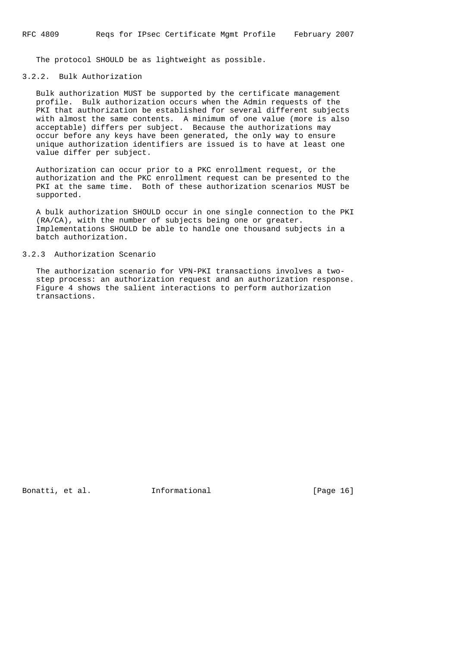The protocol SHOULD be as lightweight as possible.

## 3.2.2. Bulk Authorization

 Bulk authorization MUST be supported by the certificate management profile. Bulk authorization occurs when the Admin requests of the PKI that authorization be established for several different subjects with almost the same contents. A minimum of one value (more is also acceptable) differs per subject. Because the authorizations may occur before any keys have been generated, the only way to ensure unique authorization identifiers are issued is to have at least one value differ per subject.

 Authorization can occur prior to a PKC enrollment request, or the authorization and the PKC enrollment request can be presented to the PKI at the same time. Both of these authorization scenarios MUST be supported.

 A bulk authorization SHOULD occur in one single connection to the PKI (RA/CA), with the number of subjects being one or greater. Implementations SHOULD be able to handle one thousand subjects in a batch authorization.

## 3.2.3 Authorization Scenario

 The authorization scenario for VPN-PKI transactions involves a two step process: an authorization request and an authorization response. Figure 4 shows the salient interactions to perform authorization transactions.

Bonatti, et al. **Informational** [Page 16]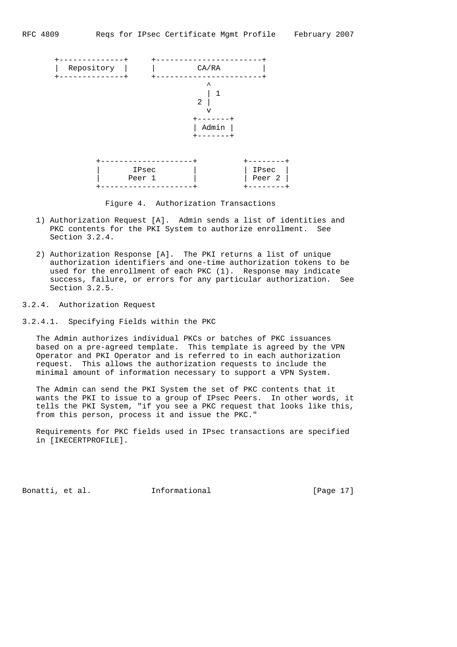

Figure 4. Authorization Transactions

- 1) Authorization Request [A]. Admin sends a list of identities and PKC contents for the PKI System to authorize enrollment. See Section 3.2.4.
- 2) Authorization Response [A]. The PKI returns a list of unique authorization identifiers and one-time authorization tokens to be used for the enrollment of each PKC (1). Response may indicate success, failure, or errors for any particular authorization. See Section 3.2.5.
- 3.2.4. Authorization Request

3.2.4.1. Specifying Fields within the PKC

 The Admin authorizes individual PKCs or batches of PKC issuances based on a pre-agreed template. This template is agreed by the VPN Operator and PKI Operator and is referred to in each authorization request. This allows the authorization requests to include the minimal amount of information necessary to support a VPN System.

 The Admin can send the PKI System the set of PKC contents that it wants the PKI to issue to a group of IPsec Peers. In other words, it tells the PKI System, "if you see a PKC request that looks like this, from this person, process it and issue the PKC."

 Requirements for PKC fields used in IPsec transactions are specified in [IKECERTPROFILE].

Bonatti, et al. 1nformational [Page 17]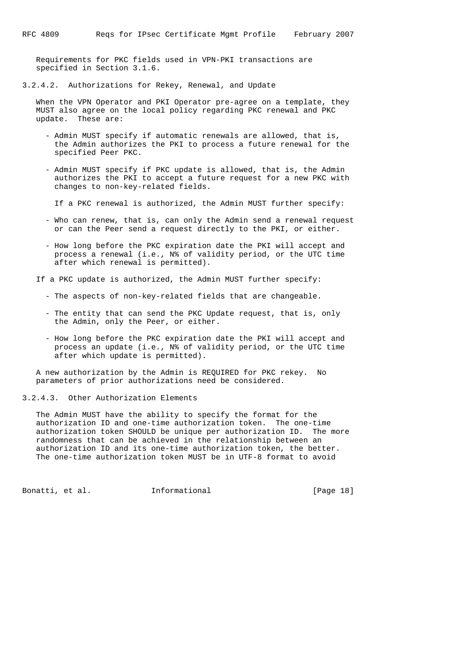Requirements for PKC fields used in VPN-PKI transactions are specified in Section 3.1.6.

3.2.4.2. Authorizations for Rekey, Renewal, and Update

 When the VPN Operator and PKI Operator pre-agree on a template, they MUST also agree on the local policy regarding PKC renewal and PKC update. These are:

- Admin MUST specify if automatic renewals are allowed, that is, the Admin authorizes the PKI to process a future renewal for the specified Peer PKC.
- Admin MUST specify if PKC update is allowed, that is, the Admin authorizes the PKI to accept a future request for a new PKC with changes to non-key-related fields.

If a PKC renewal is authorized, the Admin MUST further specify:

- Who can renew, that is, can only the Admin send a renewal request or can the Peer send a request directly to the PKI, or either.
- How long before the PKC expiration date the PKI will accept and process a renewal (i.e., N% of validity period, or the UTC time after which renewal is permitted).

If a PKC update is authorized, the Admin MUST further specify:

- The aspects of non-key-related fields that are changeable.
- The entity that can send the PKC Update request, that is, only the Admin, only the Peer, or either.
- How long before the PKC expiration date the PKI will accept and process an update (i.e., N% of validity period, or the UTC time after which update is permitted).

 A new authorization by the Admin is REQUIRED for PKC rekey. No parameters of prior authorizations need be considered.

3.2.4.3. Other Authorization Elements

 The Admin MUST have the ability to specify the format for the authorization ID and one-time authorization token. The one-time authorization token SHOULD be unique per authorization ID. The more randomness that can be achieved in the relationship between an authorization ID and its one-time authorization token, the better. The one-time authorization token MUST be in UTF-8 format to avoid

Bonatti, et al. **Informational** [Page 18]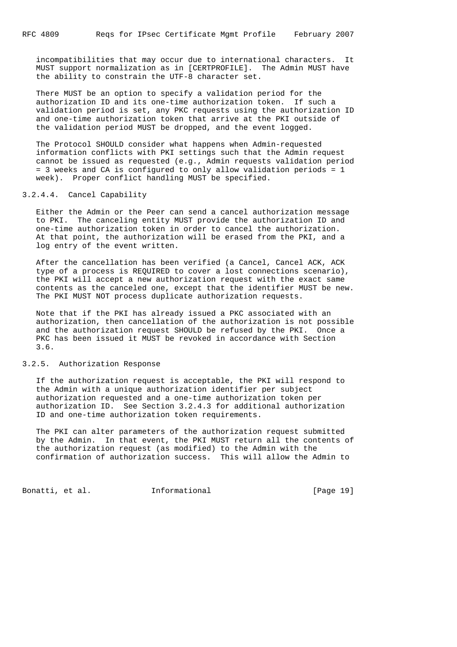incompatibilities that may occur due to international characters. It MUST support normalization as in [CERTPROFILE]. The Admin MUST have the ability to constrain the UTF-8 character set.

 There MUST be an option to specify a validation period for the authorization ID and its one-time authorization token. If such a validation period is set, any PKC requests using the authorization ID and one-time authorization token that arrive at the PKI outside of the validation period MUST be dropped, and the event logged.

 The Protocol SHOULD consider what happens when Admin-requested information conflicts with PKI settings such that the Admin request cannot be issued as requested (e.g., Admin requests validation period = 3 weeks and CA is configured to only allow validation periods = 1 week). Proper conflict handling MUST be specified.

## 3.2.4.4. Cancel Capability

 Either the Admin or the Peer can send a cancel authorization message to PKI. The canceling entity MUST provide the authorization ID and one-time authorization token in order to cancel the authorization. At that point, the authorization will be erased from the PKI, and a log entry of the event written.

 After the cancellation has been verified (a Cancel, Cancel ACK, ACK type of a process is REQUIRED to cover a lost connections scenario), the PKI will accept a new authorization request with the exact same contents as the canceled one, except that the identifier MUST be new. The PKI MUST NOT process duplicate authorization requests.

 Note that if the PKI has already issued a PKC associated with an authorization, then cancellation of the authorization is not possible and the authorization request SHOULD be refused by the PKI. Once a PKC has been issued it MUST be revoked in accordance with Section 3.6.

#### 3.2.5. Authorization Response

 If the authorization request is acceptable, the PKI will respond to the Admin with a unique authorization identifier per subject authorization requested and a one-time authorization token per authorization ID. See Section 3.2.4.3 for additional authorization ID and one-time authorization token requirements.

 The PKI can alter parameters of the authorization request submitted by the Admin. In that event, the PKI MUST return all the contents of the authorization request (as modified) to the Admin with the confirmation of authorization success. This will allow the Admin to

Bonatti, et al. 1nformational [Page 19]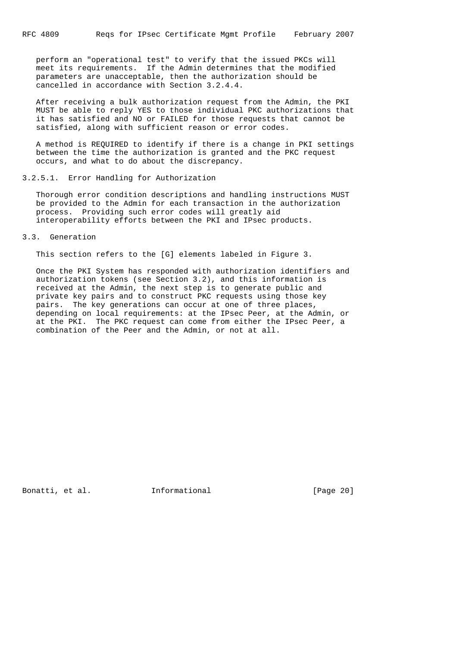perform an "operational test" to verify that the issued PKCs will meet its requirements. If the Admin determines that the modified parameters are unacceptable, then the authorization should be cancelled in accordance with Section 3.2.4.4.

 After receiving a bulk authorization request from the Admin, the PKI MUST be able to reply YES to those individual PKC authorizations that it has satisfied and NO or FAILED for those requests that cannot be satisfied, along with sufficient reason or error codes.

 A method is REQUIRED to identify if there is a change in PKI settings between the time the authorization is granted and the PKC request occurs, and what to do about the discrepancy.

#### 3.2.5.1. Error Handling for Authorization

 Thorough error condition descriptions and handling instructions MUST be provided to the Admin for each transaction in the authorization process. Providing such error codes will greatly aid interoperability efforts between the PKI and IPsec products.

3.3. Generation

This section refers to the [G] elements labeled in Figure 3.

 Once the PKI System has responded with authorization identifiers and authorization tokens (see Section 3.2), and this information is received at the Admin, the next step is to generate public and private key pairs and to construct PKC requests using those key pairs. The key generations can occur at one of three places, depending on local requirements: at the IPsec Peer, at the Admin, or at the PKI. The PKC request can come from either the IPsec Peer, a combination of the Peer and the Admin, or not at all.

Bonatti, et al. 1nformational [Page 20]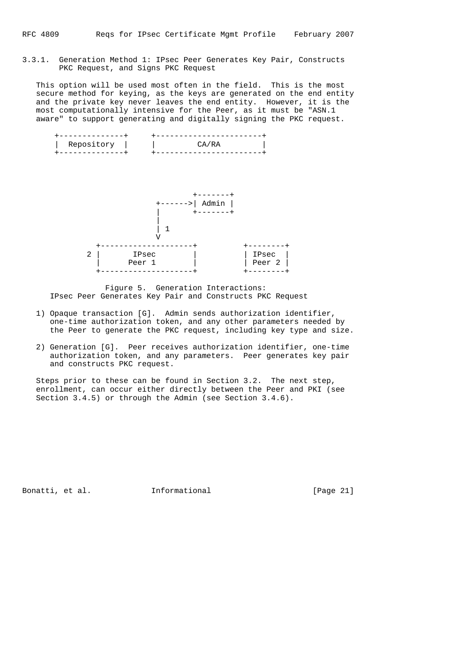3.3.1. Generation Method 1: IPsec Peer Generates Key Pair, Constructs PKC Request, and Signs PKC Request

 This option will be used most often in the field. This is the most secure method for keying, as the keys are generated on the end entity and the private key never leaves the end entity. However, it is the most computationally intensive for the Peer, as it must be "ASN.1 aware" to support generating and digitally signing the PKC request.





 Figure 5. Generation Interactions: IPsec Peer Generates Key Pair and Constructs PKC Request

- 1) Opaque transaction [G]. Admin sends authorization identifier, one-time authorization token, and any other parameters needed by the Peer to generate the PKC request, including key type and size.
- 2) Generation [G]. Peer receives authorization identifier, one-time authorization token, and any parameters. Peer generates key pair and constructs PKC request.

 Steps prior to these can be found in Section 3.2. The next step, enrollment, can occur either directly between the Peer and PKI (see Section 3.4.5) or through the Admin (see Section 3.4.6).

Bonatti, et al. **Informational** [Page 21]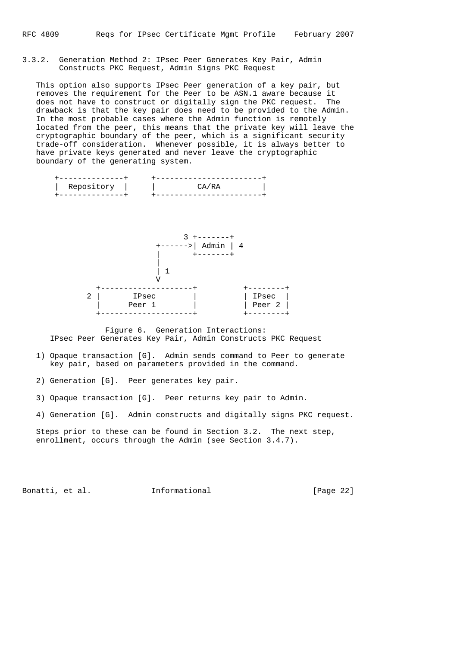## 3.3.2. Generation Method 2: IPsec Peer Generates Key Pair, Admin Constructs PKC Request, Admin Signs PKC Request

 This option also supports IPsec Peer generation of a key pair, but removes the requirement for the Peer to be ASN.1 aware because it does not have to construct or digitally sign the PKC request. The drawback is that the key pair does need to be provided to the Admin. In the most probable cases where the Admin function is remotely located from the peer, this means that the private key will leave the cryptographic boundary of the peer, which is a significant security trade-off consideration. Whenever possible, it is always better to have private keys generated and never leave the cryptographic boundary of the generating system.



 Figure 6. Generation Interactions: IPsec Peer Generates Key Pair, Admin Constructs PKC Request

- 1) Opaque transaction [G]. Admin sends command to Peer to generate key pair, based on parameters provided in the command.
- 2) Generation [G]. Peer generates key pair.
- 3) Opaque transaction [G]. Peer returns key pair to Admin.
- 4) Generation [G]. Admin constructs and digitally signs PKC request.

 Steps prior to these can be found in Section 3.2. The next step, enrollment, occurs through the Admin (see Section 3.4.7).

Bonatti, et al. **Informational** [Page 22]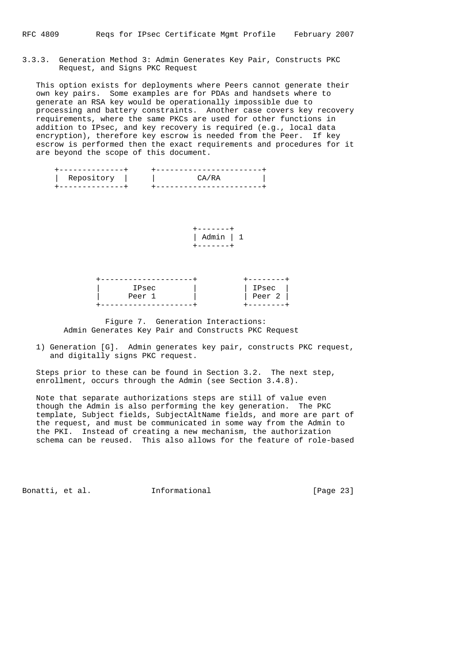## 3.3.3. Generation Method 3: Admin Generates Key Pair, Constructs PKC Request, and Signs PKC Request

 This option exists for deployments where Peers cannot generate their own key pairs. Some examples are for PDAs and handsets where to generate an RSA key would be operationally impossible due to processing and battery constraints. Another case covers key recovery requirements, where the same PKCs are used for other functions in addition to IPsec, and key recovery is required (e.g., local data encryption), therefore key escrow is needed from the Peer. If key escrow is performed then the exact requirements and procedures for it are beyond the scope of this document.

| Repository |  |
|------------|--|
|            |  |

 +-------+ | Admin | 1 +-------+

| IPsec  | IPsec  |
|--------|--------|
| Peer 1 | Peer 2 |
|        |        |

 Figure 7. Generation Interactions: Admin Generates Key Pair and Constructs PKC Request

 1) Generation [G]. Admin generates key pair, constructs PKC request, and digitally signs PKC request.

 Steps prior to these can be found in Section 3.2. The next step, enrollment, occurs through the Admin (see Section 3.4.8).

 Note that separate authorizations steps are still of value even though the Admin is also performing the key generation. The PKC template, Subject fields, SubjectAltName fields, and more are part of the request, and must be communicated in some way from the Admin to the PKI. Instead of creating a new mechanism, the authorization schema can be reused. This also allows for the feature of role-based

Bonatti, et al. **Informational** [Page 23]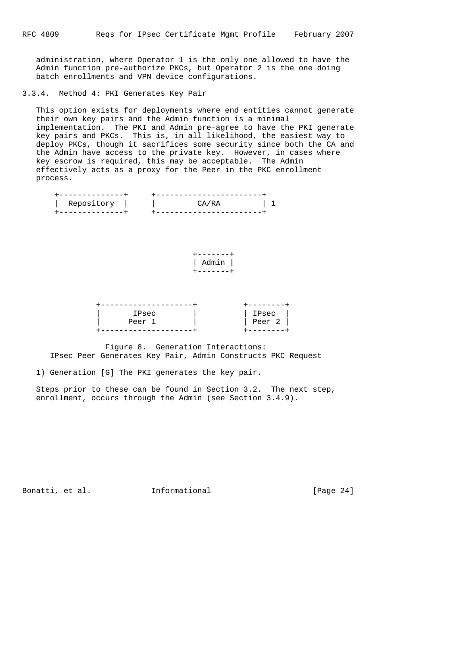administration, where Operator 1 is the only one allowed to have the Admin function pre-authorize PKCs, but Operator 2 is the one doing batch enrollments and VPN device configurations.

## 3.3.4. Method 4: PKI Generates Key Pair

 This option exists for deployments where end entities cannot generate their own key pairs and the Admin function is a minimal implementation. The PKI and Admin pre-agree to have the PKI generate key pairs and PKCs. This is, in all likelihood, the easiest way to deploy PKCs, though it sacrifices some security since both the CA and the Admin have access to the private key. However, in cases where key escrow is required, this may be acceptable. The Admin effectively acts as a proxy for the Peer in the PKC enrollment process.

| Repository |  |
|------------|--|
|            |  |

 +-------+ | Admin | +-------+

| IPsec  | IPsec  |
|--------|--------|
| Peer 1 | Peer 2 |
|        |        |

 Figure 8. Generation Interactions: IPsec Peer Generates Key Pair, Admin Constructs PKC Request

1) Generation [G] The PKI generates the key pair.

 Steps prior to these can be found in Section 3.2. The next step, enrollment, occurs through the Admin (see Section 3.4.9).

Bonatti, et al. **Informational** [Page 24]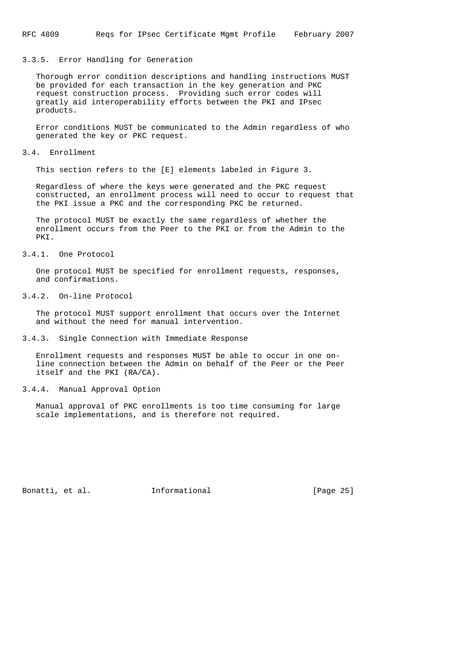## 3.3.5. Error Handling for Generation

 Thorough error condition descriptions and handling instructions MUST be provided for each transaction in the key generation and PKC request construction process. Providing such error codes will greatly aid interoperability efforts between the PKI and IPsec products.

 Error conditions MUST be communicated to the Admin regardless of who generated the key or PKC request.

## 3.4. Enrollment

This section refers to the [E] elements labeled in Figure 3.

 Regardless of where the keys were generated and the PKC request constructed, an enrollment process will need to occur to request that the PKI issue a PKC and the corresponding PKC be returned.

 The protocol MUST be exactly the same regardless of whether the enrollment occurs from the Peer to the PKI or from the Admin to the PKI.

# 3.4.1. One Protocol

 One protocol MUST be specified for enrollment requests, responses, and confirmations.

## 3.4.2. On-line Protocol

 The protocol MUST support enrollment that occurs over the Internet and without the need for manual intervention.

3.4.3. Single Connection with Immediate Response

 Enrollment requests and responses MUST be able to occur in one on line connection between the Admin on behalf of the Peer or the Peer itself and the PKI (RA/CA).

## 3.4.4. Manual Approval Option

 Manual approval of PKC enrollments is too time consuming for large scale implementations, and is therefore not required.

Bonatti, et al. 1nformational [Page 25]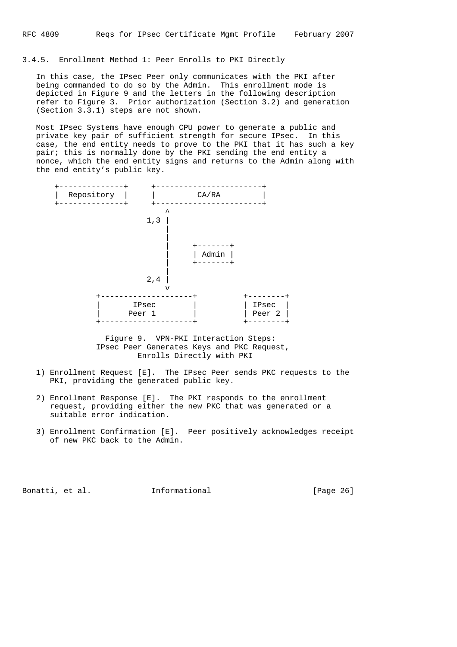3.4.5. Enrollment Method 1: Peer Enrolls to PKI Directly

 In this case, the IPsec Peer only communicates with the PKI after being commanded to do so by the Admin. This enrollment mode is depicted in Figure 9 and the letters in the following description refer to Figure 3. Prior authorization (Section 3.2) and generation (Section 3.3.1) steps are not shown.

 Most IPsec Systems have enough CPU power to generate a public and private key pair of sufficient strength for secure IPsec. In this case, the end entity needs to prove to the PKI that it has such a key pair; this is normally done by the PKI sending the end entity a nonce, which the end entity signs and returns to the Admin along with the end entity's public key.



 Figure 9. VPN-PKI Interaction Steps: IPsec Peer Generates Keys and PKC Request, Enrolls Directly with PKI

- 1) Enrollment Request [E]. The IPsec Peer sends PKC requests to the PKI, providing the generated public key.
- 2) Enrollment Response [E]. The PKI responds to the enrollment request, providing either the new PKC that was generated or a suitable error indication.
- 3) Enrollment Confirmation [E]. Peer positively acknowledges receipt of new PKC back to the Admin.

Bonatti, et al. **Informational** [Page 26]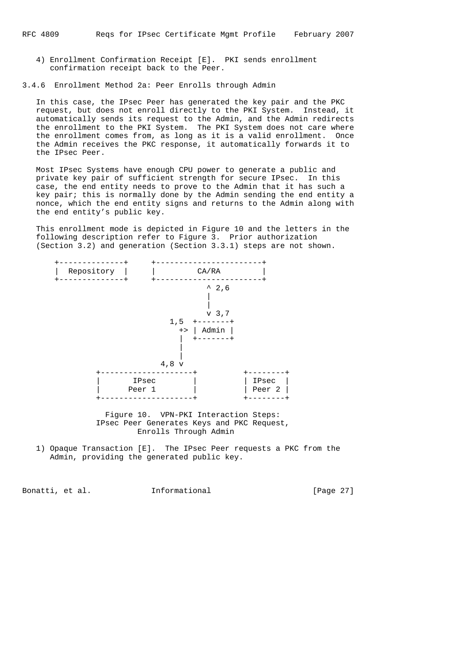4) Enrollment Confirmation Receipt [E]. PKI sends enrollment confirmation receipt back to the Peer.

3.4.6 Enrollment Method 2a: Peer Enrolls through Admin

 In this case, the IPsec Peer has generated the key pair and the PKC request, but does not enroll directly to the PKI System. Instead, it automatically sends its request to the Admin, and the Admin redirects the enrollment to the PKI System. The PKI System does not care where the enrollment comes from, as long as it is a valid enrollment. Once the Admin receives the PKC response, it automatically forwards it to the IPsec Peer.

 Most IPsec Systems have enough CPU power to generate a public and private key pair of sufficient strength for secure IPsec. In this case, the end entity needs to prove to the Admin that it has such a key pair; this is normally done by the Admin sending the end entity a nonce, which the end entity signs and returns to the Admin along with the end entity's public key.

 This enrollment mode is depicted in Figure 10 and the letters in the following description refer to Figure 3. Prior authorization (Section 3.2) and generation (Section 3.3.1) steps are not shown.



 Figure 10. VPN-PKI Interaction Steps: IPsec Peer Generates Keys and PKC Request, Enrolls Through Admin

 1) Opaque Transaction [E]. The IPsec Peer requests a PKC from the Admin, providing the generated public key.

Bonatti, et al. **Informational** [Page 27]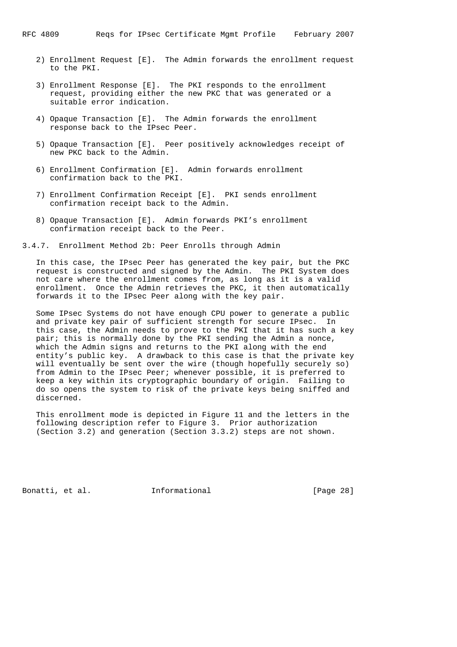- 2) Enrollment Request [E]. The Admin forwards the enrollment request to the PKI.
- 3) Enrollment Response [E]. The PKI responds to the enrollment request, providing either the new PKC that was generated or a suitable error indication.
- 4) Opaque Transaction [E]. The Admin forwards the enrollment response back to the IPsec Peer.
- 5) Opaque Transaction [E]. Peer positively acknowledges receipt of new PKC back to the Admin.
- 6) Enrollment Confirmation [E]. Admin forwards enrollment confirmation back to the PKI.
- 7) Enrollment Confirmation Receipt [E]. PKI sends enrollment confirmation receipt back to the Admin.
- 8) Opaque Transaction [E]. Admin forwards PKI's enrollment confirmation receipt back to the Peer.

3.4.7. Enrollment Method 2b: Peer Enrolls through Admin

 In this case, the IPsec Peer has generated the key pair, but the PKC request is constructed and signed by the Admin. The PKI System does not care where the enrollment comes from, as long as it is a valid enrollment. Once the Admin retrieves the PKC, it then automatically forwards it to the IPsec Peer along with the key pair.

 Some IPsec Systems do not have enough CPU power to generate a public and private key pair of sufficient strength for secure IPsec. In this case, the Admin needs to prove to the PKI that it has such a key pair; this is normally done by the PKI sending the Admin a nonce, which the Admin signs and returns to the PKI along with the end entity's public key. A drawback to this case is that the private key will eventually be sent over the wire (though hopefully securely so) from Admin to the IPsec Peer; whenever possible, it is preferred to keep a key within its cryptographic boundary of origin. Failing to do so opens the system to risk of the private keys being sniffed and discerned.

 This enrollment mode is depicted in Figure 11 and the letters in the following description refer to Figure 3. Prior authorization (Section 3.2) and generation (Section 3.3.2) steps are not shown.

Bonatti, et al. 1nformational [Page 28]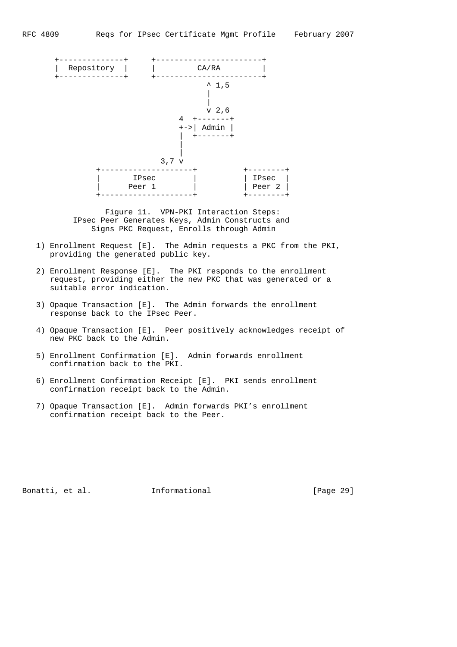

 Figure 11. VPN-PKI Interaction Steps: IPsec Peer Generates Keys, Admin Constructs and Signs PKC Request, Enrolls through Admin

- 1) Enrollment Request [E]. The Admin requests a PKC from the PKI, providing the generated public key.
- 2) Enrollment Response [E]. The PKI responds to the enrollment request, providing either the new PKC that was generated or a suitable error indication.
	- 3) Opaque Transaction [E]. The Admin forwards the enrollment response back to the IPsec Peer.
	- 4) Opaque Transaction [E]. Peer positively acknowledges receipt of new PKC back to the Admin.
	- 5) Enrollment Confirmation [E]. Admin forwards enrollment confirmation back to the PKI.
	- 6) Enrollment Confirmation Receipt [E]. PKI sends enrollment confirmation receipt back to the Admin.
	- 7) Opaque Transaction [E]. Admin forwards PKI's enrollment confirmation receipt back to the Peer.

Bonatti, et al. **Informational** [Page 29]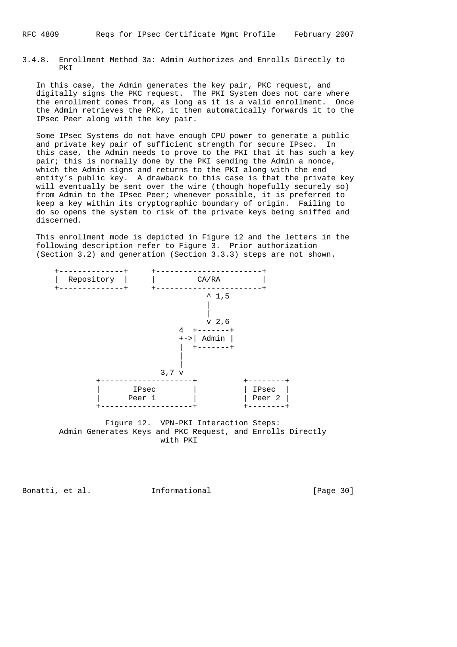3.4.8. Enrollment Method 3a: Admin Authorizes and Enrolls Directly to PKI

 In this case, the Admin generates the key pair, PKC request, and digitally signs the PKC request. The PKI System does not care where the enrollment comes from, as long as it is a valid enrollment. Once the Admin retrieves the PKC, it then automatically forwards it to the IPsec Peer along with the key pair.

 Some IPsec Systems do not have enough CPU power to generate a public and private key pair of sufficient strength for secure IPsec. In this case, the Admin needs to prove to the PKI that it has such a key pair; this is normally done by the PKI sending the Admin a nonce, which the Admin signs and returns to the PKI along with the end entity's public key. A drawback to this case is that the private key will eventually be sent over the wire (though hopefully securely so) from Admin to the IPsec Peer; whenever possible, it is preferred to keep a key within its cryptographic boundary of origin. Failing to do so opens the system to risk of the private keys being sniffed and discerned.

 This enrollment mode is depicted in Figure 12 and the letters in the following description refer to Figure 3. Prior authorization (Section 3.2) and generation (Section 3.3.3) steps are not shown.



 Figure 12. VPN-PKI Interaction Steps: Admin Generates Keys and PKC Request, and Enrolls Directly with PKI

Bonatti, et al. **Informational** [Page 30]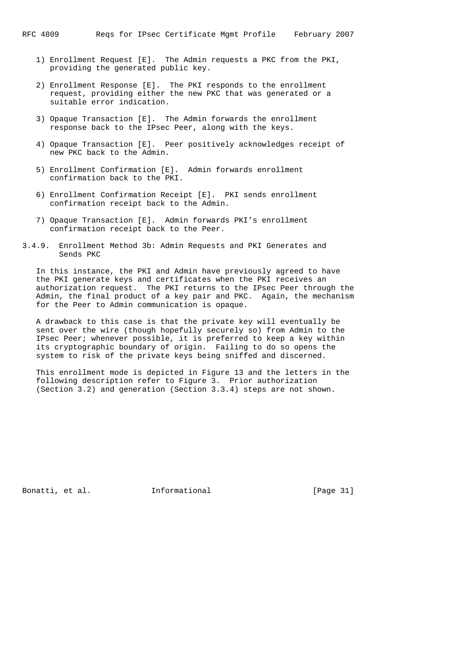- 1) Enrollment Request [E]. The Admin requests a PKC from the PKI, providing the generated public key.
- 2) Enrollment Response [E]. The PKI responds to the enrollment request, providing either the new PKC that was generated or a suitable error indication.
- 3) Opaque Transaction [E]. The Admin forwards the enrollment response back to the IPsec Peer, along with the keys.
- 4) Opaque Transaction [E]. Peer positively acknowledges receipt of new PKC back to the Admin.
- 5) Enrollment Confirmation [E]. Admin forwards enrollment confirmation back to the PKI.
- 6) Enrollment Confirmation Receipt [E]. PKI sends enrollment confirmation receipt back to the Admin.
- 7) Opaque Transaction [E]. Admin forwards PKI's enrollment confirmation receipt back to the Peer.
- 3.4.9. Enrollment Method 3b: Admin Requests and PKI Generates and Sends PKC

 In this instance, the PKI and Admin have previously agreed to have the PKI generate keys and certificates when the PKI receives an authorization request. The PKI returns to the IPsec Peer through the Admin, the final product of a key pair and PKC. Again, the mechanism for the Peer to Admin communication is opaque.

 A drawback to this case is that the private key will eventually be sent over the wire (though hopefully securely so) from Admin to the IPsec Peer; whenever possible, it is preferred to keep a key within its cryptographic boundary of origin. Failing to do so opens the system to risk of the private keys being sniffed and discerned.

 This enrollment mode is depicted in Figure 13 and the letters in the following description refer to Figure 3. Prior authorization (Section 3.2) and generation (Section 3.3.4) steps are not shown.

Bonatti, et al. 1nformational [Page 31]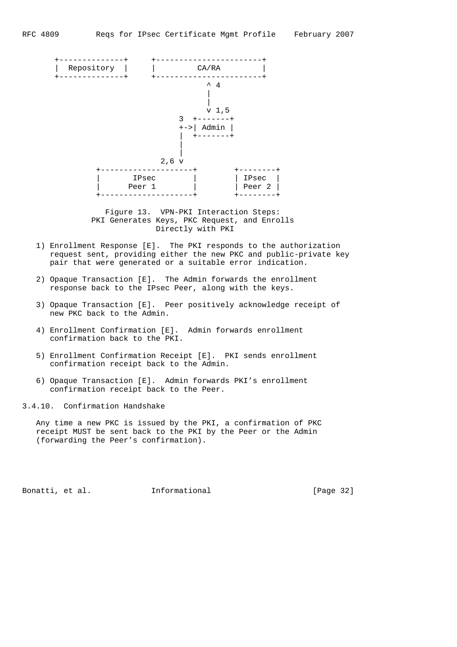

 Figure 13. VPN-PKI Interaction Steps: PKI Generates Keys, PKC Request, and Enrolls Directly with PKI

- 1) Enrollment Response [E]. The PKI responds to the authorization request sent, providing either the new PKC and public-private key pair that were generated or a suitable error indication.
- 2) Opaque Transaction [E]. The Admin forwards the enrollment response back to the IPsec Peer, along with the keys.
- 3) Opaque Transaction [E]. Peer positively acknowledge receipt of new PKC back to the Admin.
- 4) Enrollment Confirmation [E]. Admin forwards enrollment confirmation back to the PKI.
- 5) Enrollment Confirmation Receipt [E]. PKI sends enrollment confirmation receipt back to the Admin.
- 6) Opaque Transaction [E]. Admin forwards PKI's enrollment confirmation receipt back to the Peer.

3.4.10. Confirmation Handshake

 Any time a new PKC is issued by the PKI, a confirmation of PKC receipt MUST be sent back to the PKI by the Peer or the Admin (forwarding the Peer's confirmation).

Bonatti, et al. **Informational** [Page 32]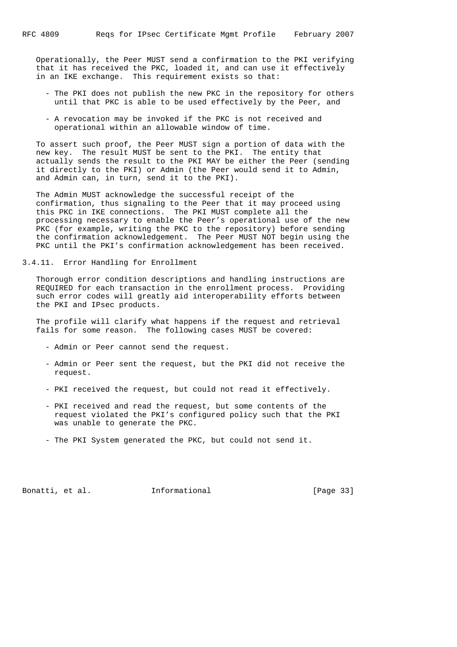Operationally, the Peer MUST send a confirmation to the PKI verifying that it has received the PKC, loaded it, and can use it effectively in an IKE exchange. This requirement exists so that:

- The PKI does not publish the new PKC in the repository for others until that PKC is able to be used effectively by the Peer, and
- A revocation may be invoked if the PKC is not received and operational within an allowable window of time.

 To assert such proof, the Peer MUST sign a portion of data with the new key. The result MUST be sent to the PKI. The entity that actually sends the result to the PKI MAY be either the Peer (sending it directly to the PKI) or Admin (the Peer would send it to Admin, and Admin can, in turn, send it to the PKI).

 The Admin MUST acknowledge the successful receipt of the confirmation, thus signaling to the Peer that it may proceed using this PKC in IKE connections. The PKI MUST complete all the processing necessary to enable the Peer's operational use of the new PKC (for example, writing the PKC to the repository) before sending the confirmation acknowledgement. The Peer MUST NOT begin using the PKC until the PKI's confirmation acknowledgement has been received.

3.4.11. Error Handling for Enrollment

 Thorough error condition descriptions and handling instructions are REQUIRED for each transaction in the enrollment process. Providing such error codes will greatly aid interoperability efforts between the PKI and IPsec products.

 The profile will clarify what happens if the request and retrieval fails for some reason. The following cases MUST be covered:

- Admin or Peer cannot send the request.
- Admin or Peer sent the request, but the PKI did not receive the request.
- PKI received the request, but could not read it effectively.
- PKI received and read the request, but some contents of the request violated the PKI's configured policy such that the PKI was unable to generate the PKC.
- The PKI System generated the PKC, but could not send it.

Bonatti, et al. 1nformational [Page 33]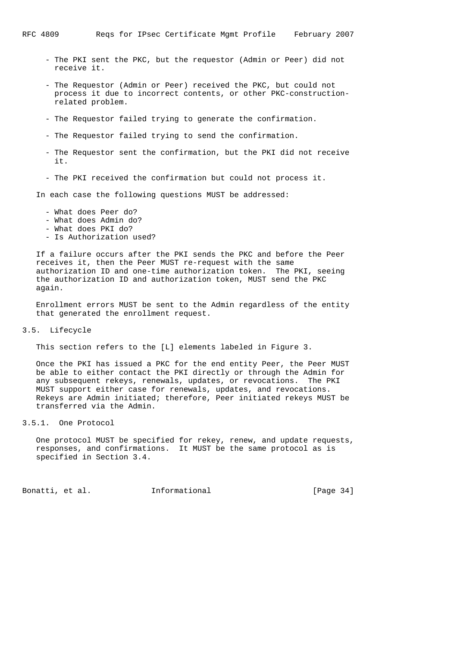- The PKI sent the PKC, but the requestor (Admin or Peer) did not receive it.
- The Requestor (Admin or Peer) received the PKC, but could not process it due to incorrect contents, or other PKC-construction related problem.
- The Requestor failed trying to generate the confirmation.
- The Requestor failed trying to send the confirmation.
- The Requestor sent the confirmation, but the PKI did not receive it.
- The PKI received the confirmation but could not process it.

In each case the following questions MUST be addressed:

- What does Peer do?
- What does Admin do?
- What does PKI do?
- Is Authorization used?

 If a failure occurs after the PKI sends the PKC and before the Peer receives it, then the Peer MUST re-request with the same authorization ID and one-time authorization token. The PKI, seeing the authorization ID and authorization token, MUST send the PKC again.

 Enrollment errors MUST be sent to the Admin regardless of the entity that generated the enrollment request.

3.5. Lifecycle

This section refers to the [L] elements labeled in Figure 3.

 Once the PKI has issued a PKC for the end entity Peer, the Peer MUST be able to either contact the PKI directly or through the Admin for any subsequent rekeys, renewals, updates, or revocations. The PKI MUST support either case for renewals, updates, and revocations. Rekeys are Admin initiated; therefore, Peer initiated rekeys MUST be transferred via the Admin.

3.5.1. One Protocol

 One protocol MUST be specified for rekey, renew, and update requests, responses, and confirmations. It MUST be the same protocol as is specified in Section 3.4.

Bonatti, et al. 1nformational [Page 34]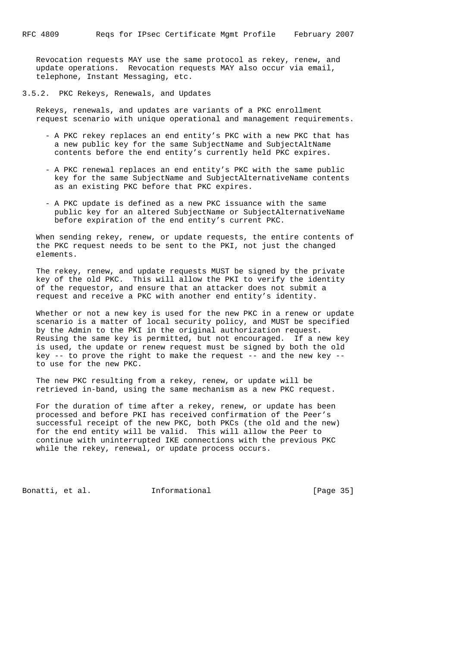Revocation requests MAY use the same protocol as rekey, renew, and update operations. Revocation requests MAY also occur via email, telephone, Instant Messaging, etc.

3.5.2. PKC Rekeys, Renewals, and Updates

 Rekeys, renewals, and updates are variants of a PKC enrollment request scenario with unique operational and management requirements.

- A PKC rekey replaces an end entity's PKC with a new PKC that has a new public key for the same SubjectName and SubjectAltName contents before the end entity's currently held PKC expires.
- A PKC renewal replaces an end entity's PKC with the same public key for the same SubjectName and SubjectAlternativeName contents as an existing PKC before that PKC expires.
- A PKC update is defined as a new PKC issuance with the same public key for an altered SubjectName or SubjectAlternativeName before expiration of the end entity's current PKC.

 When sending rekey, renew, or update requests, the entire contents of the PKC request needs to be sent to the PKI, not just the changed elements.

 The rekey, renew, and update requests MUST be signed by the private key of the old PKC. This will allow the PKI to verify the identity of the requestor, and ensure that an attacker does not submit a request and receive a PKC with another end entity's identity.

 Whether or not a new key is used for the new PKC in a renew or update scenario is a matter of local security policy, and MUST be specified by the Admin to the PKI in the original authorization request. Reusing the same key is permitted, but not encouraged. If a new key is used, the update or renew request must be signed by both the old key  $-$ - to prove the right to make the request  $-$ - and the new key  $-$ to use for the new PKC.

 The new PKC resulting from a rekey, renew, or update will be retrieved in-band, using the same mechanism as a new PKC request.

 For the duration of time after a rekey, renew, or update has been processed and before PKI has received confirmation of the Peer's successful receipt of the new PKC, both PKCs (the old and the new) for the end entity will be valid. This will allow the Peer to continue with uninterrupted IKE connections with the previous PKC while the rekey, renewal, or update process occurs.

Bonatti, et al. 1nformational [Page 35]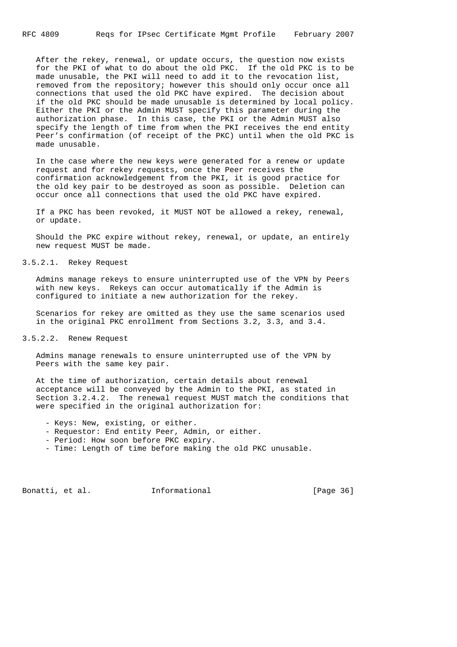After the rekey, renewal, or update occurs, the question now exists for the PKI of what to do about the old PKC. If the old PKC is to be made unusable, the PKI will need to add it to the revocation list, removed from the repository; however this should only occur once all connections that used the old PKC have expired. The decision about if the old PKC should be made unusable is determined by local policy. Either the PKI or the Admin MUST specify this parameter during the authorization phase. In this case, the PKI or the Admin MUST also specify the length of time from when the PKI receives the end entity Peer's confirmation (of receipt of the PKC) until when the old PKC is made unusable.

 In the case where the new keys were generated for a renew or update request and for rekey requests, once the Peer receives the confirmation acknowledgement from the PKI, it is good practice for the old key pair to be destroyed as soon as possible. Deletion can occur once all connections that used the old PKC have expired.

 If a PKC has been revoked, it MUST NOT be allowed a rekey, renewal, or update.

 Should the PKC expire without rekey, renewal, or update, an entirely new request MUST be made.

3.5.2.1. Rekey Request

 Admins manage rekeys to ensure uninterrupted use of the VPN by Peers with new keys. Rekeys can occur automatically if the Admin is configured to initiate a new authorization for the rekey.

 Scenarios for rekey are omitted as they use the same scenarios used in the original PKC enrollment from Sections 3.2, 3.3, and 3.4.

#### 3.5.2.2. Renew Request

 Admins manage renewals to ensure uninterrupted use of the VPN by Peers with the same key pair.

 At the time of authorization, certain details about renewal acceptance will be conveyed by the Admin to the PKI, as stated in Section 3.2.4.2. The renewal request MUST match the conditions that were specified in the original authorization for:

- Keys: New, existing, or either.
- Requestor: End entity Peer, Admin, or either.
- Period: How soon before PKC expiry.
- Time: Length of time before making the old PKC unusable.

Bonatti, et al. **Informational** [Page 36]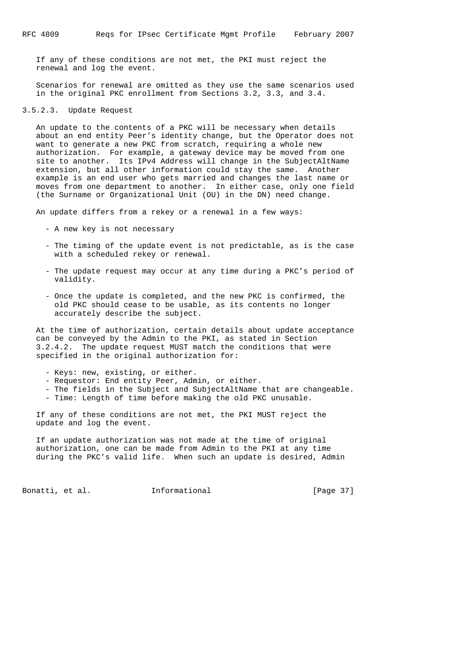If any of these conditions are not met, the PKI must reject the renewal and log the event.

 Scenarios for renewal are omitted as they use the same scenarios used in the original PKC enrollment from Sections 3.2, 3.3, and 3.4.

#### 3.5.2.3. Update Request

 An update to the contents of a PKC will be necessary when details about an end entity Peer's identity change, but the Operator does not want to generate a new PKC from scratch, requiring a whole new authorization. For example, a gateway device may be moved from one site to another. Its IPv4 Address will change in the SubjectAltName extension, but all other information could stay the same. Another example is an end user who gets married and changes the last name or moves from one department to another. In either case, only one field (the Surname or Organizational Unit (OU) in the DN) need change.

An update differs from a rekey or a renewal in a few ways:

- A new key is not necessary
- The timing of the update event is not predictable, as is the case with a scheduled rekey or renewal.
- The update request may occur at any time during a PKC's period of validity.
- Once the update is completed, and the new PKC is confirmed, the old PKC should cease to be usable, as its contents no longer accurately describe the subject.

 At the time of authorization, certain details about update acceptance can be conveyed by the Admin to the PKI, as stated in Section 3.2.4.2. The update request MUST match the conditions that were specified in the original authorization for:

- Keys: new, existing, or either.
- Requestor: End entity Peer, Admin, or either.
- The fields in the Subject and SubjectAltName that are changeable.
- Time: Length of time before making the old PKC unusable.

 If any of these conditions are not met, the PKI MUST reject the update and log the event.

 If an update authorization was not made at the time of original authorization, one can be made from Admin to the PKI at any time during the PKC's valid life. When such an update is desired, Admin

Bonatti, et al. **Informational** [Page 37]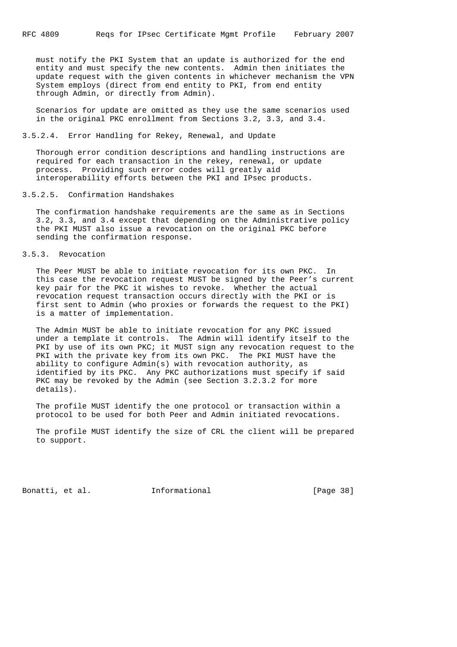must notify the PKI System that an update is authorized for the end entity and must specify the new contents. Admin then initiates the update request with the given contents in whichever mechanism the VPN System employs (direct from end entity to PKI, from end entity through Admin, or directly from Admin).

 Scenarios for update are omitted as they use the same scenarios used in the original PKC enrollment from Sections 3.2, 3.3, and 3.4.

3.5.2.4. Error Handling for Rekey, Renewal, and Update

 Thorough error condition descriptions and handling instructions are required for each transaction in the rekey, renewal, or update process. Providing such error codes will greatly aid interoperability efforts between the PKI and IPsec products.

## 3.5.2.5. Confirmation Handshakes

 The confirmation handshake requirements are the same as in Sections 3.2, 3.3, and 3.4 except that depending on the Administrative policy the PKI MUST also issue a revocation on the original PKC before sending the confirmation response.

3.5.3. Revocation

 The Peer MUST be able to initiate revocation for its own PKC. In this case the revocation request MUST be signed by the Peer's current key pair for the PKC it wishes to revoke. Whether the actual revocation request transaction occurs directly with the PKI or is first sent to Admin (who proxies or forwards the request to the PKI) is a matter of implementation.

 The Admin MUST be able to initiate revocation for any PKC issued under a template it controls. The Admin will identify itself to the PKI by use of its own PKC; it MUST sign any revocation request to the PKI with the private key from its own PKC. The PKI MUST have the ability to configure Admin(s) with revocation authority, as identified by its PKC. Any PKC authorizations must specify if said PKC may be revoked by the Admin (see Section 3.2.3.2 for more details).

 The profile MUST identify the one protocol or transaction within a protocol to be used for both Peer and Admin initiated revocations.

 The profile MUST identify the size of CRL the client will be prepared to support.

Bonatti, et al. 1nformational [Page 38]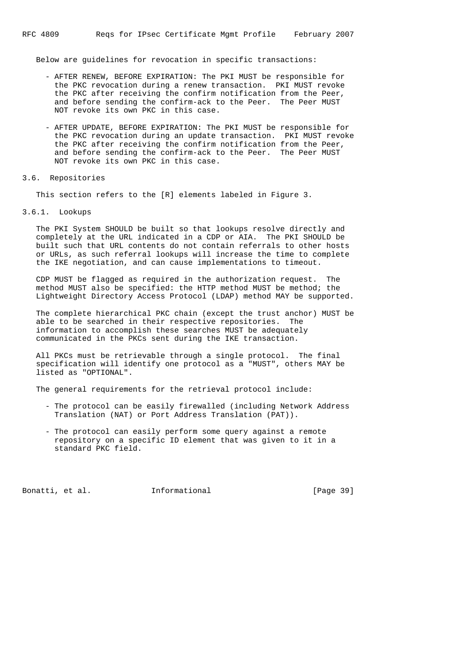Below are guidelines for revocation in specific transactions:

- AFTER RENEW, BEFORE EXPIRATION: The PKI MUST be responsible for the PKC revocation during a renew transaction. PKI MUST revoke the PKC after receiving the confirm notification from the Peer, and before sending the confirm-ack to the Peer. The Peer MUST NOT revoke its own PKC in this case.
- AFTER UPDATE, BEFORE EXPIRATION: The PKI MUST be responsible for the PKC revocation during an update transaction. PKI MUST revoke the PKC after receiving the confirm notification from the Peer, and before sending the confirm-ack to the Peer. The Peer MUST NOT revoke its own PKC in this case.

#### 3.6. Repositories

This section refers to the [R] elements labeled in Figure 3.

3.6.1. Lookups

 The PKI System SHOULD be built so that lookups resolve directly and completely at the URL indicated in a CDP or AIA. The PKI SHOULD be built such that URL contents do not contain referrals to other hosts or URLs, as such referral lookups will increase the time to complete the IKE negotiation, and can cause implementations to timeout.

 CDP MUST be flagged as required in the authorization request. The method MUST also be specified: the HTTP method MUST be method; the Lightweight Directory Access Protocol (LDAP) method MAY be supported.

 The complete hierarchical PKC chain (except the trust anchor) MUST be able to be searched in their respective repositories. The information to accomplish these searches MUST be adequately communicated in the PKCs sent during the IKE transaction.

 All PKCs must be retrievable through a single protocol. The final specification will identify one protocol as a "MUST", others MAY be listed as "OPTIONAL".

The general requirements for the retrieval protocol include:

- The protocol can be easily firewalled (including Network Address Translation (NAT) or Port Address Translation (PAT)).
- The protocol can easily perform some query against a remote repository on a specific ID element that was given to it in a standard PKC field.

Bonatti, et al. 1nformational [Page 39]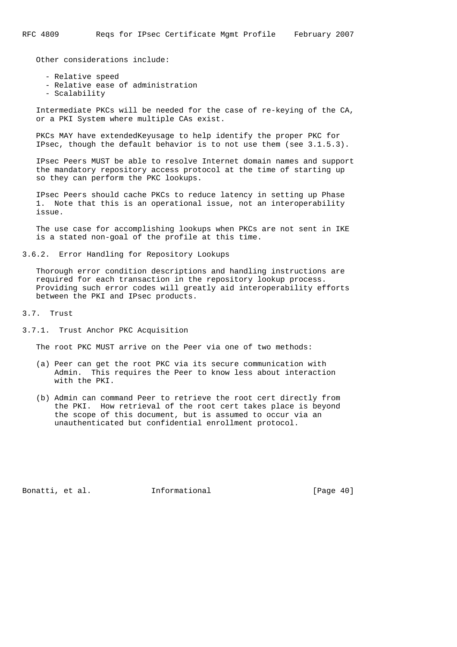Other considerations include:

- Relative speed
- Relative ease of administration
- Scalability

 Intermediate PKCs will be needed for the case of re-keying of the CA, or a PKI System where multiple CAs exist.

 PKCs MAY have extendedKeyusage to help identify the proper PKC for IPsec, though the default behavior is to not use them (see 3.1.5.3).

 IPsec Peers MUST be able to resolve Internet domain names and support the mandatory repository access protocol at the time of starting up so they can perform the PKC lookups.

 IPsec Peers should cache PKCs to reduce latency in setting up Phase 1. Note that this is an operational issue, not an interoperability issue.

 The use case for accomplishing lookups when PKCs are not sent in IKE is a stated non-goal of the profile at this time.

3.6.2. Error Handling for Repository Lookups

 Thorough error condition descriptions and handling instructions are required for each transaction in the repository lookup process. Providing such error codes will greatly aid interoperability efforts between the PKI and IPsec products.

3.7. Trust

3.7.1. Trust Anchor PKC Acquisition

The root PKC MUST arrive on the Peer via one of two methods:

- (a) Peer can get the root PKC via its secure communication with Admin. This requires the Peer to know less about interaction with the PKI.
- (b) Admin can command Peer to retrieve the root cert directly from the PKI. How retrieval of the root cert takes place is beyond the scope of this document, but is assumed to occur via an unauthenticated but confidential enrollment protocol.

Bonatti, et al. 1nformational [Page 40]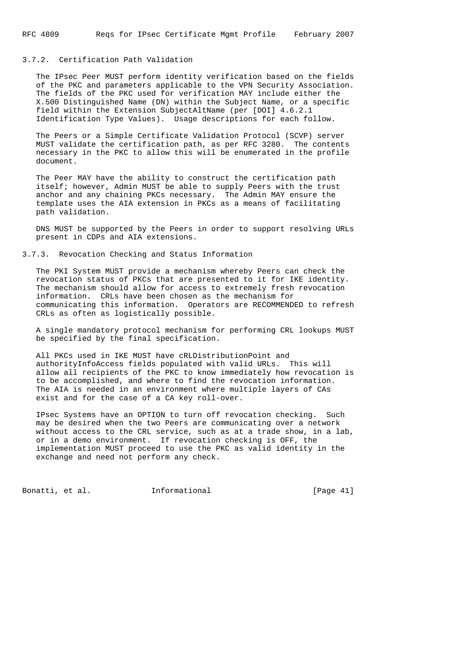# 3.7.2. Certification Path Validation

 The IPsec Peer MUST perform identity verification based on the fields of the PKC and parameters applicable to the VPN Security Association. The fields of the PKC used for verification MAY include either the X.500 Distinguished Name (DN) within the Subject Name, or a specific field within the Extension SubjectAltName (per [DOI] 4.6.2.1 Identification Type Values). Usage descriptions for each follow.

 The Peers or a Simple Certificate Validation Protocol (SCVP) server MUST validate the certification path, as per RFC 3280. The contents necessary in the PKC to allow this will be enumerated in the profile document.

 The Peer MAY have the ability to construct the certification path itself; however, Admin MUST be able to supply Peers with the trust anchor and any chaining PKCs necessary. The Admin MAY ensure the template uses the AIA extension in PKCs as a means of facilitating path validation.

 DNS MUST be supported by the Peers in order to support resolving URLs present in CDPs and AIA extensions.

3.7.3. Revocation Checking and Status Information

 The PKI System MUST provide a mechanism whereby Peers can check the revocation status of PKCs that are presented to it for IKE identity. The mechanism should allow for access to extremely fresh revocation information. CRLs have been chosen as the mechanism for communicating this information. Operators are RECOMMENDED to refresh CRLs as often as logistically possible.

 A single mandatory protocol mechanism for performing CRL lookups MUST be specified by the final specification.

 All PKCs used in IKE MUST have cRLDistributionPoint and authorityInfoAccess fields populated with valid URLs. This will allow all recipients of the PKC to know immediately how revocation is to be accomplished, and where to find the revocation information. The AIA is needed in an environment where multiple layers of CAs exist and for the case of a CA key roll-over.

 IPsec Systems have an OPTION to turn off revocation checking. Such may be desired when the two Peers are communicating over a network without access to the CRL service, such as at a trade show, in a lab, or in a demo environment. If revocation checking is OFF, the implementation MUST proceed to use the PKC as valid identity in the exchange and need not perform any check.

Bonatti, et al. **Informational** [Page 41]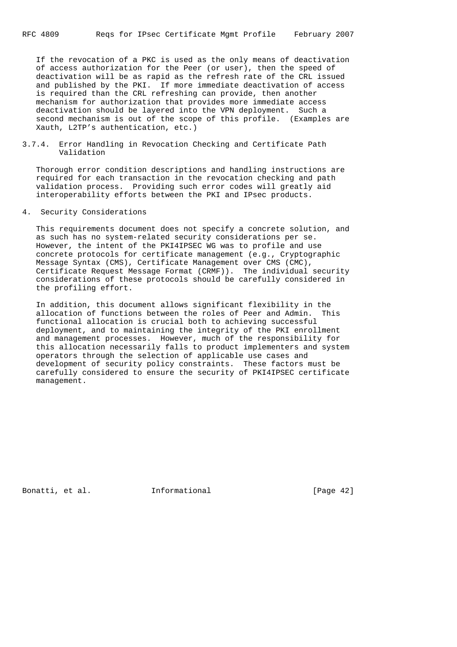If the revocation of a PKC is used as the only means of deactivation of access authorization for the Peer (or user), then the speed of deactivation will be as rapid as the refresh rate of the CRL issued and published by the PKI. If more immediate deactivation of access is required than the CRL refreshing can provide, then another mechanism for authorization that provides more immediate access deactivation should be layered into the VPN deployment. Such a second mechanism is out of the scope of this profile. (Examples are Xauth, L2TP's authentication, etc.)

3.7.4. Error Handling in Revocation Checking and Certificate Path Validation

 Thorough error condition descriptions and handling instructions are required for each transaction in the revocation checking and path validation process. Providing such error codes will greatly aid interoperability efforts between the PKI and IPsec products.

4. Security Considerations

 This requirements document does not specify a concrete solution, and as such has no system-related security considerations per se. However, the intent of the PKI4IPSEC WG was to profile and use concrete protocols for certificate management (e.g., Cryptographic Message Syntax (CMS), Certificate Management over CMS (CMC), Certificate Request Message Format (CRMF)). The individual security considerations of these protocols should be carefully considered in the profiling effort.

 In addition, this document allows significant flexibility in the allocation of functions between the roles of Peer and Admin. This functional allocation is crucial both to achieving successful deployment, and to maintaining the integrity of the PKI enrollment and management processes. However, much of the responsibility for this allocation necessarily falls to product implementers and system operators through the selection of applicable use cases and development of security policy constraints. These factors must be carefully considered to ensure the security of PKI4IPSEC certificate management.

Bonatti, et al. **Informational** [Page 42]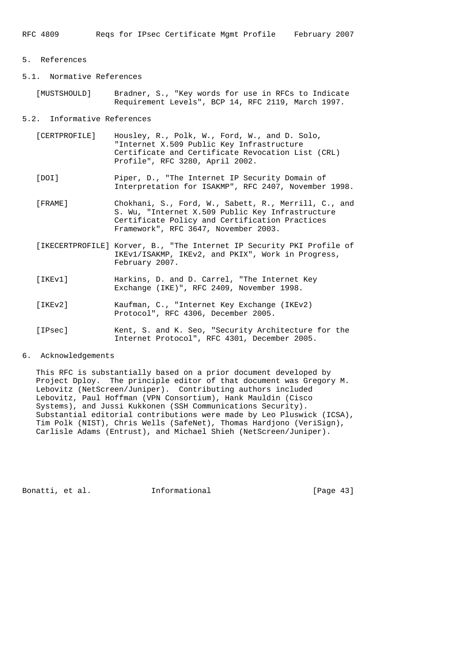## 5. References

- 5.1. Normative References
	- [MUSTSHOULD] Bradner, S., "Key words for use in RFCs to Indicate Requirement Levels", BCP 14, RFC 2119, March 1997.

5.2. Informative References

- [CERTPROFILE] Housley, R., Polk, W., Ford, W., and D. Solo, "Internet X.509 Public Key Infrastructure Certificate and Certificate Revocation List (CRL) Profile", RFC 3280, April 2002.
- [DOI] Piper, D., "The Internet IP Security Domain of Interpretation for ISAKMP", RFC 2407, November 1998.
- [FRAME] Chokhani, S., Ford, W., Sabett, R., Merrill, C., and S. Wu, "Internet X.509 Public Key Infrastructure Certificate Policy and Certification Practices Framework", RFC 3647, November 2003.
- [IKECERTPROFILE] Korver, B., "The Internet IP Security PKI Profile of IKEv1/ISAKMP, IKEv2, and PKIX", Work in Progress, February 2007.
- [IKEv1] Harkins, D. and D. Carrel, "The Internet Key Exchange (IKE)", RFC 2409, November 1998.
- [IKEv2] Kaufman, C., "Internet Key Exchange (IKEv2) Protocol", RFC 4306, December 2005.
- [IPsec] Kent, S. and K. Seo, "Security Architecture for the Internet Protocol", RFC 4301, December 2005.

## 6. Acknowledgements

 This RFC is substantially based on a prior document developed by Project Dploy. The principle editor of that document was Gregory M. Lebovitz (NetScreen/Juniper). Contributing authors included Lebovitz, Paul Hoffman (VPN Consortium), Hank Mauldin (Cisco Systems), and Jussi Kukkonen (SSH Communications Security). Substantial editorial contributions were made by Leo Pluswick (ICSA), Tim Polk (NIST), Chris Wells (SafeNet), Thomas Hardjono (VeriSign), Carlisle Adams (Entrust), and Michael Shieh (NetScreen/Juniper).

Bonatti, et al. **Informational** [Page 43]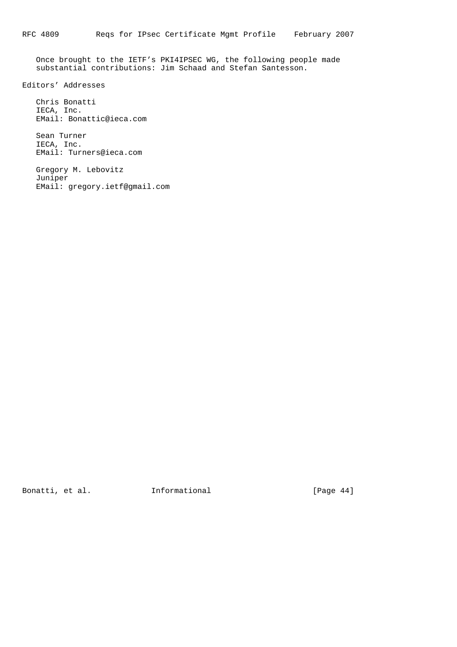Once brought to the IETF's PKI4IPSEC WG, the following people made substantial contributions: Jim Schaad and Stefan Santesson.

Editors' Addresses

 Chris Bonatti IECA, Inc. EMail: Bonattic@ieca.com

 Sean Turner IECA, Inc. EMail: Turners@ieca.com

 Gregory M. Lebovitz Juniper EMail: gregory.ietf@gmail.com

Bonatti, et al. **Informational** [Page 44]